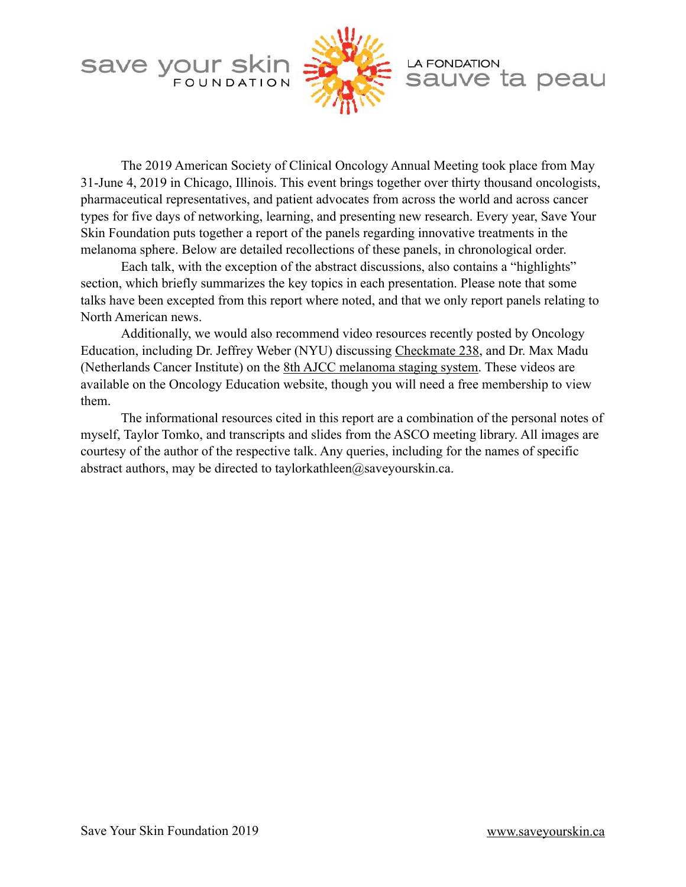



# **LA FONDATION** sauve ta peau

 The 2019 American Society of Clinical Oncology Annual Meeting took place from May 31-June 4, 2019 in Chicago, Illinois. This event brings together over thirty thousand oncologists, pharmaceutical representatives, and patient advocates from across the world and across cancer types for five days of networking, learning, and presenting new research. Every year, Save Your Skin Foundation puts together a report of the panels regarding innovative treatments in the melanoma sphere. Below are detailed recollections of these panels, in chronological order.

 Each talk, with the exception of the abstract discussions, also contains a "highlights" section, which briefly summarizes the key topics in each presentation. Please note that some talks have been excepted from this report where noted, and that we only report panels relating to North American news.

 Additionally, we would also recommend video resources recently posted by Oncology Education, including Dr. Jeffrey Weber (NYU) discussing [Checkmate 238,](https://www.oncologyeducation.com/events/cancer-congress-coverage/asco-melanoma-2018/asco-melanoma-2018-round-table-discussion/checkmate-238-trial-update/) and Dr. Max Madu (Netherlands Cancer Institute) on the [8th AJCC melanoma staging system.](https://www.oncologyeducation.com/events/cancer-congress-coverage/asco-melanoma-2018/asco-melanoma-2018-round-table-discussion/validation-of-the-8th-ajcc-melanoma-staging-system-on-outcomes/) These videos are available on the Oncology Education website, though you will need a free membership to view them.

 The informational resources cited in this report are a combination of the personal notes of myself, Taylor Tomko, and transcripts and slides from the ASCO meeting library. All images are courtesy of the author of the respective talk. Any queries, including for the names of specific abstract authors, may be directed to taylorkathleen@saveyourskin.ca.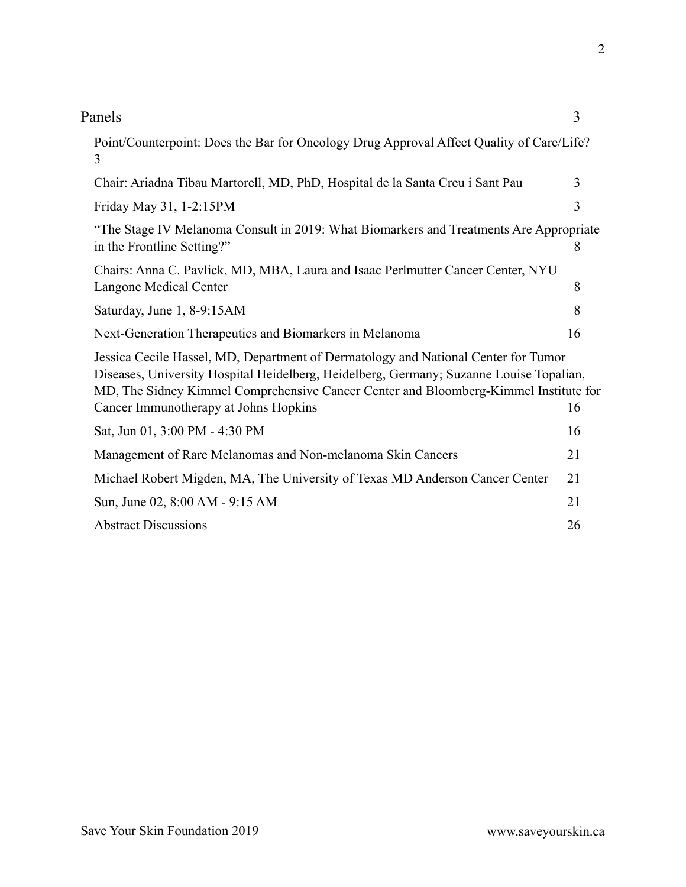| Michael Robert Migden, MA, The University of Texas MD Anderson Cancer O |
|-------------------------------------------------------------------------|
| Sun, June 02, 8:00 AM - 9:15 AM                                         |
| <b>Abstract Discussions</b>                                             |
|                                                                         |
|                                                                         |
|                                                                         |
|                                                                         |
|                                                                         |
|                                                                         |

| Point/Counterpoint: Does the Bar for Oncology Drug Approval Affect Quality of Care/Life?<br>3                                                                                                                                                                                                                        |    |  |  |  |  |  |  |
|----------------------------------------------------------------------------------------------------------------------------------------------------------------------------------------------------------------------------------------------------------------------------------------------------------------------|----|--|--|--|--|--|--|
| Chair: Ariadna Tibau Martorell, MD, PhD, Hospital de la Santa Creu i Sant Pau                                                                                                                                                                                                                                        |    |  |  |  |  |  |  |
| Friday May 31, 1-2:15PM                                                                                                                                                                                                                                                                                              |    |  |  |  |  |  |  |
| "The Stage IV Melanoma Consult in 2019: What Biomarkers and Treatments Are Appropriate<br>in the Frontline Setting?"                                                                                                                                                                                                 | 8  |  |  |  |  |  |  |
| Chairs: Anna C. Pavlick, MD, MBA, Laura and Isaac Perlmutter Cancer Center, NYU<br>Langone Medical Center                                                                                                                                                                                                            | 8  |  |  |  |  |  |  |
| Saturday, June 1, 8-9:15AM                                                                                                                                                                                                                                                                                           | 8  |  |  |  |  |  |  |
| Next-Generation Therapeutics and Biomarkers in Melanoma                                                                                                                                                                                                                                                              | 16 |  |  |  |  |  |  |
| Jessica Cecile Hassel, MD, Department of Dermatology and National Center for Tumor<br>Diseases, University Hospital Heidelberg, Heidelberg, Germany; Suzanne Louise Topalian,<br>MD, The Sidney Kimmel Comprehensive Cancer Center and Bloomberg-Kimmel Institute for<br>Cancer Immunotherapy at Johns Hopkins<br>16 |    |  |  |  |  |  |  |
| Sat, Jun 01, 3:00 PM - 4:30 PM                                                                                                                                                                                                                                                                                       | 16 |  |  |  |  |  |  |
| Management of Rare Melanomas and Non-melanoma Skin Cancers                                                                                                                                                                                                                                                           | 21 |  |  |  |  |  |  |
| Michael Robert Migden, MA, The University of Texas MD Anderson Cancer Center                                                                                                                                                                                                                                         | 21 |  |  |  |  |  |  |
| Sun, June 02, 8:00 AM - 9:15 AM                                                                                                                                                                                                                                                                                      | 21 |  |  |  |  |  |  |
| <b>Abstract Discussions</b>                                                                                                                                                                                                                                                                                          | 26 |  |  |  |  |  |  |

# Panels 3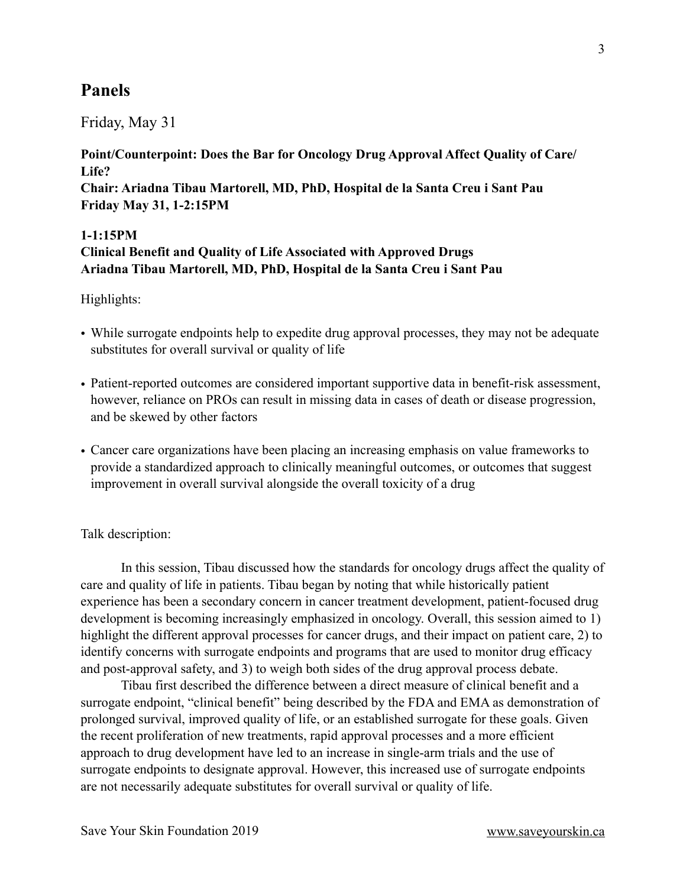# <span id="page-2-0"></span>**Panels**

### Friday, May 31

<span id="page-2-2"></span><span id="page-2-1"></span>**Point/Counterpoint: Does the Bar for Oncology Drug Approval Affect Quality of Care/ Life? Chair: Ariadna Tibau Martorell, MD, PhD, Hospital de la Santa Creu i Sant Pau Friday May 31, 1-2:15PM** 

# <span id="page-2-3"></span>**1-1:15PM Clinical Benefit and Quality of Life Associated with Approved Drugs Ariadna Tibau Martorell, MD, PhD, Hospital de la Santa Creu i Sant Pau**

Highlights:

- While surrogate endpoints help to expedite drug approval processes, they may not be adequate substitutes for overall survival or quality of life
- Patient-reported outcomes are considered important supportive data in benefit-risk assessment, however, reliance on PROs can result in missing data in cases of death or disease progression, and be skewed by other factors
- Cancer care organizations have been placing an increasing emphasis on value frameworks to provide a standardized approach to clinically meaningful outcomes, or outcomes that suggest improvement in overall survival alongside the overall toxicity of a drug

#### Talk description:

 In this session, Tibau discussed how the standards for oncology drugs affect the quality of care and quality of life in patients. Tibau began by noting that while historically patient experience has been a secondary concern in cancer treatment development, patient-focused drug development is becoming increasingly emphasized in oncology. Overall, this session aimed to 1) highlight the different approval processes for cancer drugs, and their impact on patient care, 2) to identify concerns with surrogate endpoints and programs that are used to monitor drug efficacy and post-approval safety, and 3) to weigh both sides of the drug approval process debate.

 Tibau first described the difference between a direct measure of clinical benefit and a surrogate endpoint, "clinical benefit" being described by the FDA and EMA as demonstration of prolonged survival, improved quality of life, or an established surrogate for these goals. Given the recent proliferation of new treatments, rapid approval processes and a more efficient approach to drug development have led to an increase in single-arm trials and the use of surrogate endpoints to designate approval. However, this increased use of surrogate endpoints are not necessarily adequate substitutes for overall survival or quality of life.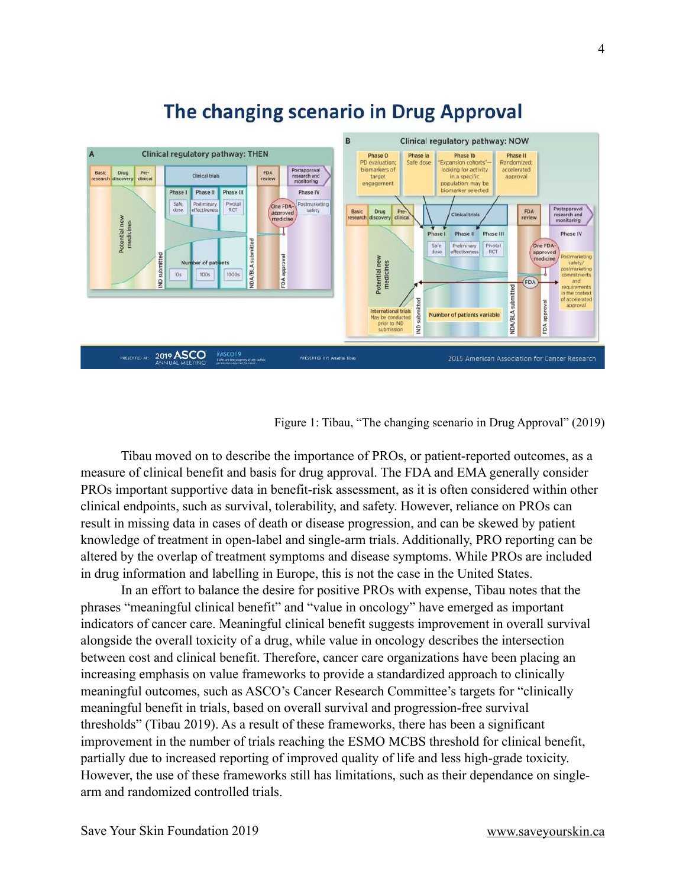

# The changing scenario in Drug Approval

Figure 1: Tibau, "The changing scenario in Drug Approval" (2019)

 Tibau moved on to describe the importance of PROs, or patient-reported outcomes, as a measure of clinical benefit and basis for drug approval. The FDA and EMA generally consider PROs important supportive data in benefit-risk assessment, as it is often considered within other clinical endpoints, such as survival, tolerability, and safety. However, reliance on PROs can result in missing data in cases of death or disease progression, and can be skewed by patient knowledge of treatment in open-label and single-arm trials. Additionally, PRO reporting can be altered by the overlap of treatment symptoms and disease symptoms. While PROs are included in drug information and labelling in Europe, this is not the case in the United States.

 In an effort to balance the desire for positive PROs with expense, Tibau notes that the phrases "meaningful clinical benefit" and "value in oncology" have emerged as important indicators of cancer care. Meaningful clinical benefit suggests improvement in overall survival alongside the overall toxicity of a drug, while value in oncology describes the intersection between cost and clinical benefit. Therefore, cancer care organizations have been placing an increasing emphasis on value frameworks to provide a standardized approach to clinically meaningful outcomes, such as ASCO's Cancer Research Committee's targets for "clinically meaningful benefit in trials, based on overall survival and progression-free survival thresholds" (Tibau 2019). As a result of these frameworks, there has been a significant improvement in the number of trials reaching the ESMO MCBS threshold for clinical benefit, partially due to increased reporting of improved quality of life and less high-grade toxicity. However, the use of these frameworks still has limitations, such as their dependance on singlearm and randomized controlled trials.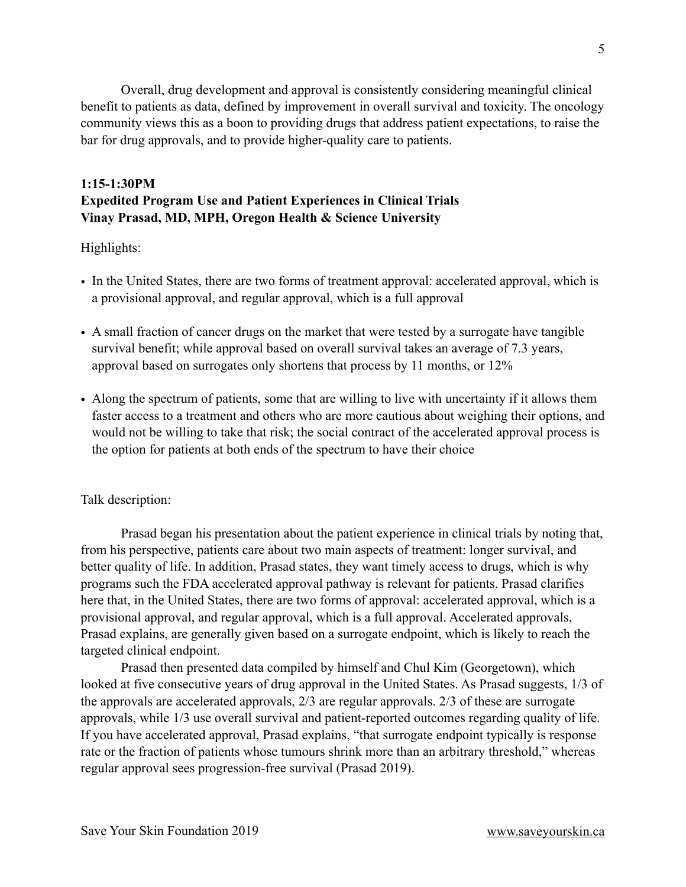Overall, drug development and approval is consistently considering meaningful clinical benefit to patients as data, defined by improvement in overall survival and toxicity. The oncology community views this as a boon to providing drugs that address patient expectations, to raise the bar for drug approvals, and to provide higher-quality care to patients.

## **1:15-1:30PM Expedited Program Use and Patient Experiences in Clinical Trials Vinay Prasad, MD, MPH, Oregon Health & Science University**

Highlights:

- In the United States, there are two forms of treatment approval: accelerated approval, which is a provisional approval, and regular approval, which is a full approval
- A small fraction of cancer drugs on the market that were tested by a surrogate have tangible survival benefit; while approval based on overall survival takes an average of 7.3 years, approval based on surrogates only shortens that process by 11 months, or 12%
- Along the spectrum of patients, some that are willing to live with uncertainty if it allows them faster access to a treatment and others who are more cautious about weighing their options, and would not be willing to take that risk; the social contract of the accelerated approval process is the option for patients at both ends of the spectrum to have their choice

#### Talk description:

 Prasad began his presentation about the patient experience in clinical trials by noting that, from his perspective, patients care about two main aspects of treatment: longer survival, and better quality of life. In addition, Prasad states, they want timely access to drugs, which is why programs such the FDA accelerated approval pathway is relevant for patients. Prasad clarifies here that, in the United States, there are two forms of approval: accelerated approval, which is a provisional approval, and regular approval, which is a full approval. Accelerated approvals, Prasad explains, are generally given based on a surrogate endpoint, which is likely to reach the targeted clinical endpoint.

 Prasad then presented data compiled by himself and Chul Kim (Georgetown), which looked at five consecutive years of drug approval in the United States. As Prasad suggests, 1/3 of the approvals are accelerated approvals, 2/3 are regular approvals. 2/3 of these are surrogate approvals, while 1/3 use overall survival and patient-reported outcomes regarding quality of life. If you have accelerated approval, Prasad explains, "that surrogate endpoint typically is response rate or the fraction of patients whose tumours shrink more than an arbitrary threshold," whereas regular approval sees progression-free survival (Prasad 2019).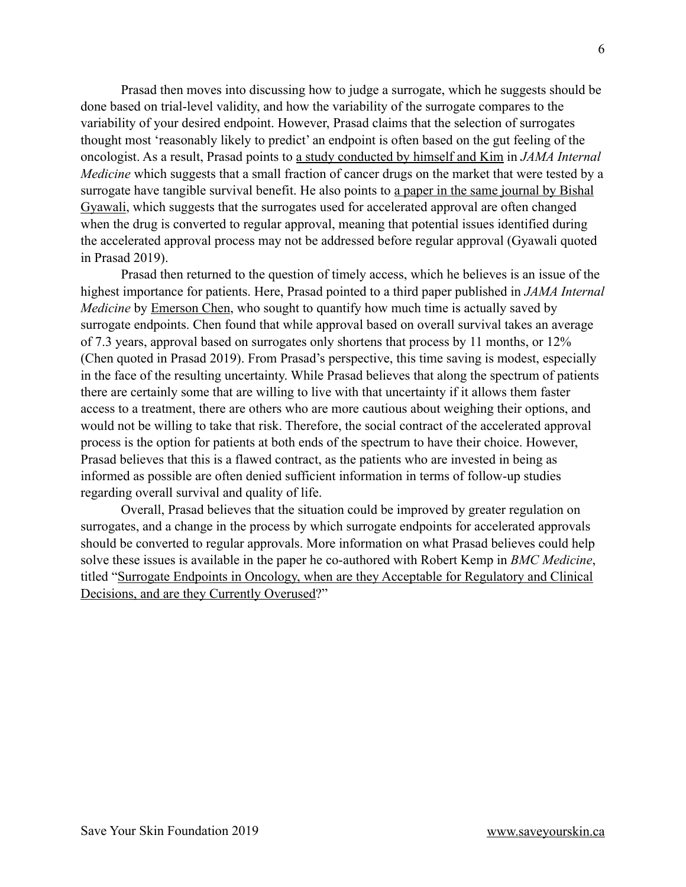Prasad then moves into discussing how to judge a surrogate, which he suggests should be done based on trial-level validity, and how the variability of the surrogate compares to the variability of your desired endpoint. However, Prasad claims that the selection of surrogates thought most 'reasonably likely to predict' an endpoint is often based on the gut feeling of the oncologist. As a result, Prasad points to [a study conducted by himself and Kim](https://jamanetwork.com/journals/jamainternalmedicine/fullarticle/2463590) in *JAMA Internal Medicine* which suggests that a small fraction of cancer drugs on the market that were tested by a surrogate have tangible survival benefit. He also points to a paper in the same journal by Bishal [Gyawali,](https://jamanetwork.com/journals/jamainternalmedicine/article-abstract/2733561) which suggests that the surrogates used for accelerated approval are often changed when the drug is converted to regular approval, meaning that potential issues identified during the accelerated approval process may not be addressed before regular approval (Gyawali quoted in Prasad 2019).

 Prasad then returned to the question of timely access, which he believes is an issue of the highest importance for patients. Here, Prasad pointed to a third paper published in *JAMA Internal Medicine* by **Emerson Chen**, who sought to quantify how much time is actually saved by surrogate endpoints. Chen found that while approval based on overall survival takes an average of 7.3 years, approval based on surrogates only shortens that process by 11 months, or 12% (Chen quoted in Prasad 2019). From Prasad's perspective, this time saving is modest, especially in the face of the resulting uncertainty. While Prasad believes that along the spectrum of patients there are certainly some that are willing to live with that uncertainty if it allows them faster access to a treatment, there are others who are more cautious about weighing their options, and would not be willing to take that risk. Therefore, the social contract of the accelerated approval process is the option for patients at both ends of the spectrum to have their choice. However, Prasad believes that this is a flawed contract, as the patients who are invested in being as informed as possible are often denied sufficient information in terms of follow-up studies regarding overall survival and quality of life.

 Overall, Prasad believes that the situation could be improved by greater regulation on surrogates, and a change in the process by which surrogate endpoints for accelerated approvals should be converted to regular approvals. More information on what Prasad believes could help solve these issues is available in the paper he co-authored with Robert Kemp in *BMC Medicine*, titled "[Surrogate Endpoints in Oncology, when are they Acceptable for Regulatory and Clinical](https://bmcmedicine.biomedcentral.com/articles/10.1186/s12916-017-0902-9)  [Decisions, and are they Currently Overused?](https://bmcmedicine.biomedcentral.com/articles/10.1186/s12916-017-0902-9)"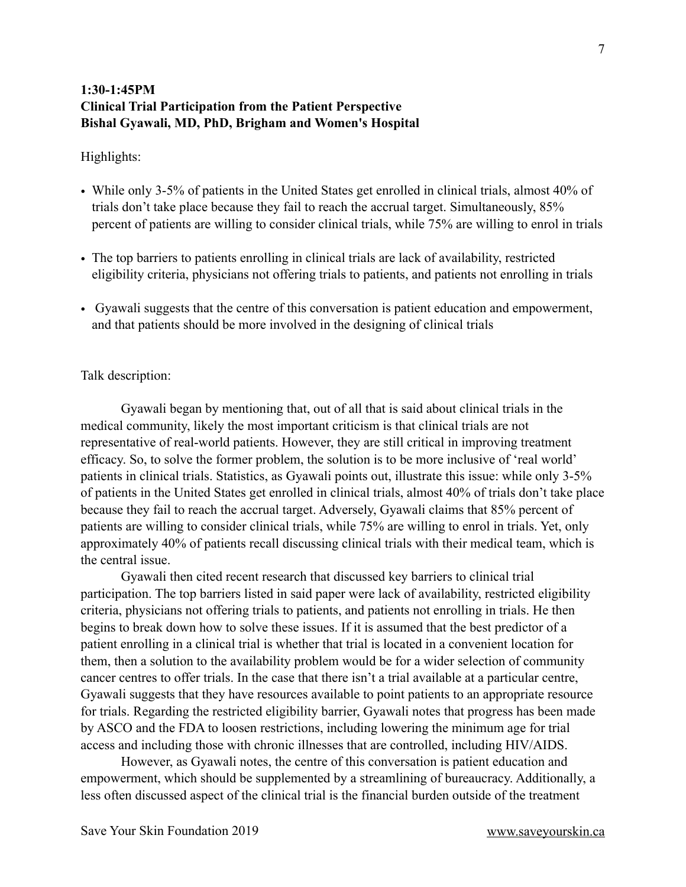# **1:30-1:45PM Clinical Trial Participation from the Patient Perspective Bishal Gyawali, MD, PhD, Brigham and Women's Hospital**

#### Highlights:

- While only 3-5% of patients in the United States get enrolled in clinical trials, almost 40% of trials don't take place because they fail to reach the accrual target. Simultaneously, 85% percent of patients are willing to consider clinical trials, while 75% are willing to enrol in trials
- The top barriers to patients enrolling in clinical trials are lack of availability, restricted eligibility criteria, physicians not offering trials to patients, and patients not enrolling in trials
- Gyawali suggests that the centre of this conversation is patient education and empowerment, and that patients should be more involved in the designing of clinical trials

#### Talk description:

 Gyawali began by mentioning that, out of all that is said about clinical trials in the medical community, likely the most important criticism is that clinical trials are not representative of real-world patients. However, they are still critical in improving treatment efficacy. So, to solve the former problem, the solution is to be more inclusive of 'real world' patients in clinical trials. Statistics, as Gyawali points out, illustrate this issue: while only 3-5% of patients in the United States get enrolled in clinical trials, almost 40% of trials don't take place because they fail to reach the accrual target. Adversely, Gyawali claims that 85% percent of patients are willing to consider clinical trials, while 75% are willing to enrol in trials. Yet, only approximately 40% of patients recall discussing clinical trials with their medical team, which is the central issue.

 Gyawali then cited recent research that discussed key barriers to clinical trial participation. The top barriers listed in said paper were lack of availability, restricted eligibility criteria, physicians not offering trials to patients, and patients not enrolling in trials. He then begins to break down how to solve these issues. If it is assumed that the best predictor of a patient enrolling in a clinical trial is whether that trial is located in a convenient location for them, then a solution to the availability problem would be for a wider selection of community cancer centres to offer trials. In the case that there isn't a trial available at a particular centre, Gyawali suggests that they have resources available to point patients to an appropriate resource for trials. Regarding the restricted eligibility barrier, Gyawali notes that progress has been made by ASCO and the FDA to loosen restrictions, including lowering the minimum age for trial access and including those with chronic illnesses that are controlled, including HIV/AIDS.

 However, as Gyawali notes, the centre of this conversation is patient education and empowerment, which should be supplemented by a streamlining of bureaucracy. Additionally, a less often discussed aspect of the clinical trial is the financial burden outside of the treatment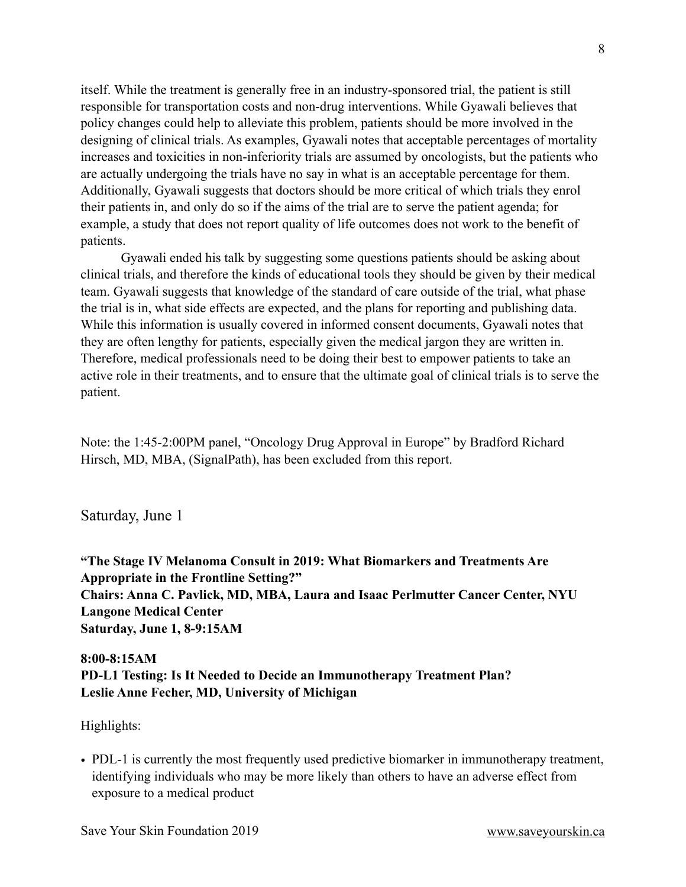itself. While the treatment is generally free in an industry-sponsored trial, the patient is still responsible for transportation costs and non-drug interventions. While Gyawali believes that policy changes could help to alleviate this problem, patients should be more involved in the designing of clinical trials. As examples, Gyawali notes that acceptable percentages of mortality increases and toxicities in non-inferiority trials are assumed by oncologists, but the patients who are actually undergoing the trials have no say in what is an acceptable percentage for them. Additionally, Gyawali suggests that doctors should be more critical of which trials they enrol their patients in, and only do so if the aims of the trial are to serve the patient agenda; for example, a study that does not report quality of life outcomes does not work to the benefit of patients.

 Gyawali ended his talk by suggesting some questions patients should be asking about clinical trials, and therefore the kinds of educational tools they should be given by their medical team. Gyawali suggests that knowledge of the standard of care outside of the trial, what phase the trial is in, what side effects are expected, and the plans for reporting and publishing data. While this information is usually covered in informed consent documents, Gyawali notes that they are often lengthy for patients, especially given the medical jargon they are written in. Therefore, medical professionals need to be doing their best to empower patients to take an active role in their treatments, and to ensure that the ultimate goal of clinical trials is to serve the patient.

Note: the 1:45-2:00PM panel, "Oncology Drug Approval in Europe" by Bradford Richard Hirsch, MD, MBA, (SignalPath), has been excluded from this report.

Saturday, June 1

<span id="page-7-1"></span><span id="page-7-0"></span>**"The Stage IV Melanoma Consult in 2019: What Biomarkers and Treatments Are Appropriate in the Frontline Setting?" Chairs: Anna C. Pavlick, MD, MBA, Laura and Isaac Perlmutter Cancer Center, NYU Langone Medical Center Saturday, June 1, 8-9:15AM** 

# <span id="page-7-2"></span>**8:00-8:15AM PD-L1 Testing: Is It Needed to Decide an Immunotherapy Treatment Plan? Leslie Anne Fecher, MD, University of Michigan**

Highlights:

• PDL-1 is currently the most frequently used predictive biomarker in immunotherapy treatment, identifying individuals who may be more likely than others to have an adverse effect from exposure to a medical product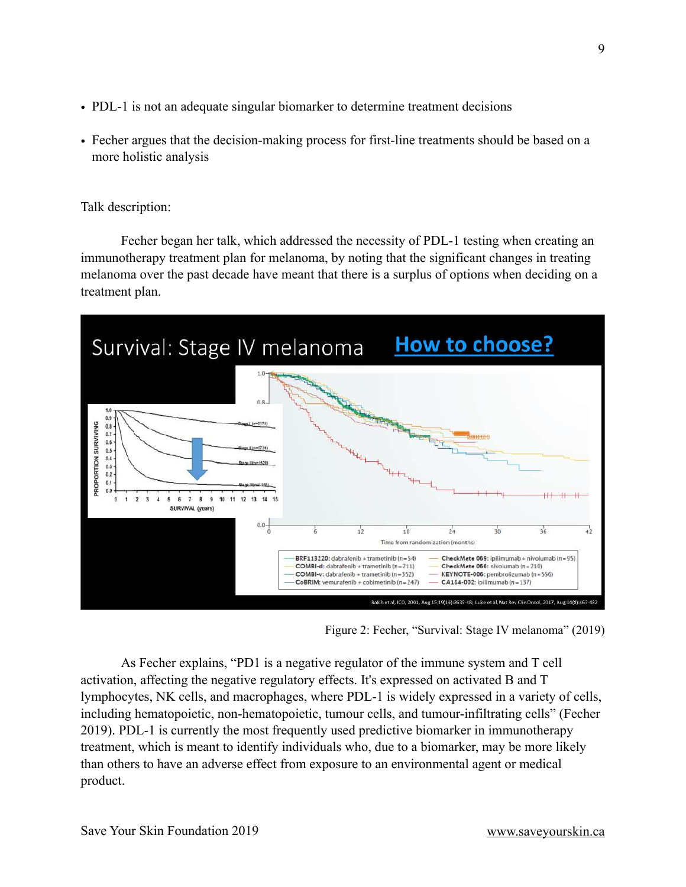- PDL-1 is not an adequate singular biomarker to determine treatment decisions
- Fecher argues that the decision-making process for first-line treatments should be based on a more holistic analysis

Talk description:

 Fecher began her talk, which addressed the necessity of PDL-1 testing when creating an immunotherapy treatment plan for melanoma, by noting that the significant changes in treating melanoma over the past decade have meant that there is a surplus of options when deciding on a treatment plan.



Figure 2: Fecher, "Survival: Stage IV melanoma" (2019)

 As Fecher explains, "PD1 is a negative regulator of the immune system and T cell activation, affecting the negative regulatory effects. It's expressed on activated B and T lymphocytes, NK cells, and macrophages, where PDL-1 is widely expressed in a variety of cells, including hematopoietic, non-hematopoietic, tumour cells, and tumour-infiltrating cells" (Fecher 2019). PDL-1 is currently the most frequently used predictive biomarker in immunotherapy treatment, which is meant to identify individuals who, due to a biomarker, may be more likely than others to have an adverse effect from exposure to an environmental agent or medical product.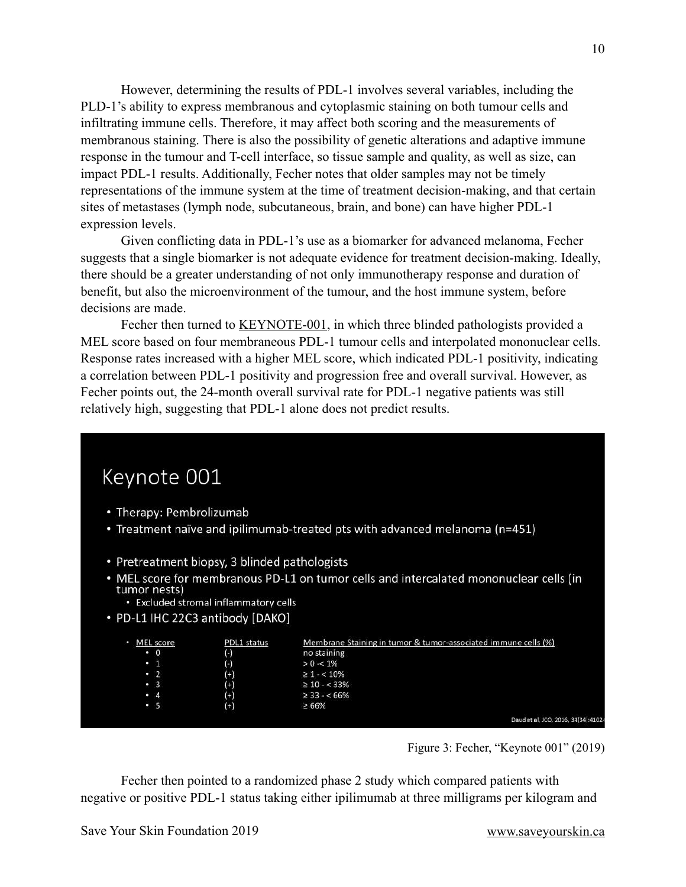However, determining the results of PDL-1 involves several variables, including the PLD-1's ability to express membranous and cytoplasmic staining on both tumour cells and infiltrating immune cells. Therefore, it may affect both scoring and the measurements of membranous staining. There is also the possibility of genetic alterations and adaptive immune response in the tumour and T-cell interface, so tissue sample and quality, as well as size, can impact PDL-1 results. Additionally, Fecher notes that older samples may not be timely representations of the immune system at the time of treatment decision-making, and that certain sites of metastases (lymph node, subcutaneous, brain, and bone) can have higher PDL-1 expression levels.

 Given conflicting data in PDL-1's use as a biomarker for advanced melanoma, Fecher suggests that a single biomarker is not adequate evidence for treatment decision-making. Ideally, there should be a greater understanding of not only immunotherapy response and duration of benefit, but also the microenvironment of the tumour, and the host immune system, before decisions are made.

Fecher then turned to **KEYNOTE-001**, in which three blinded pathologists provided a MEL score based on four membraneous PDL-1 tumour cells and interpolated mononuclear cells. Response rates increased with a higher MEL score, which indicated PDL-1 positivity, indicating a correlation between PDL-1 positivity and progression free and overall survival. However, as Fecher points out, the 24-month overall survival rate for PDL-1 negative patients was still relatively high, suggesting that PDL-1 alone does not predict results.

# Keynote 001

- Therapy: Pembrolizumab
- Treatment naïve and ipilimumab-treated pts with advanced melanoma (n=451)
- Pretreatment biopsy, 3 blinded pathologists
- . MEL score for membranous PD-L1 on tumor cells and intercalated mononuclear cells (in tumor nests)
	- Excluded stromal inflammatory cells
- PD-L1 IHC 22C3 antibody [DAKO]

| MEL score | PDL1 status | Membrane Staining in tumor & tumor-associated immune cells (%) |
|-----------|-------------|----------------------------------------------------------------|
| $\cdot$ 0 | $(\cdot)$   | no staining                                                    |
| $\cdot$ 1 | $_{(-)}$    | $> 0 - 1\%$                                                    |
| $\cdot$ 2 | $^{(+)}$    | $\geq 1 - < 10\%$                                              |
| $\cdot$ 3 | $^{(+)}$    | $\geq 10 - < 33\%$                                             |
| $\cdot$ 4 | $^{(+)}$    | $\geq$ 33 - < 66%                                              |
| $\cdot$ 5 | $^{(+)}$    | ≥ 66%                                                          |
|           |             | Daud et al, JCO, 2016, 34(34):41                               |

Figure 3: Fecher, "Keynote 001" (2019)

 Fecher then pointed to a randomized phase 2 study which compared patients with negative or positive PDL-1 status taking either ipilimumab at three milligrams per kilogram and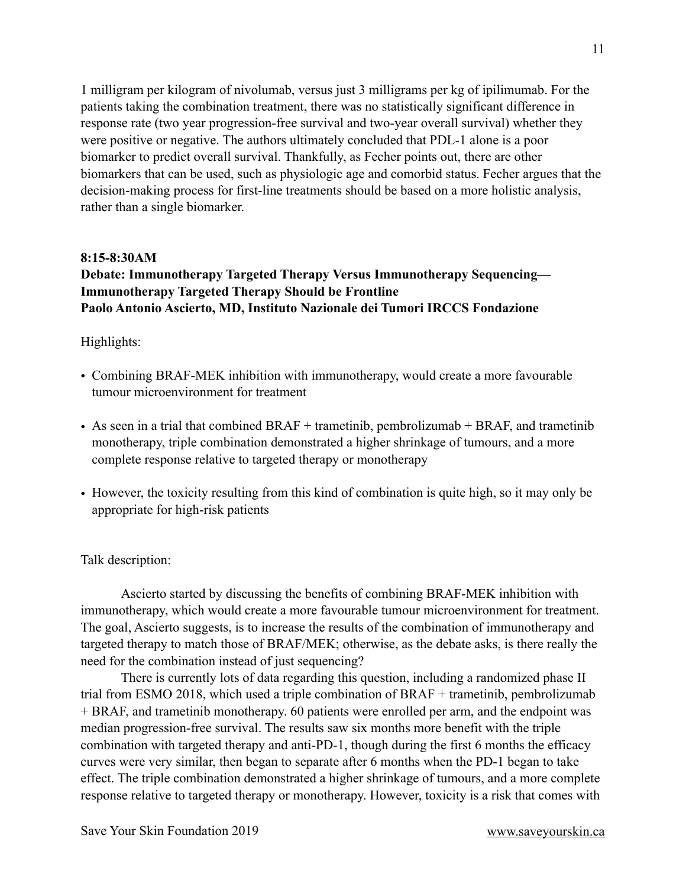1 milligram per kilogram of nivolumab, versus just 3 milligrams per kg of ipilimumab. For the patients taking the combination treatment, there was no statistically significant difference in response rate (two year progression-free survival and two-year overall survival) whether they were positive or negative. The authors ultimately concluded that PDL-1 alone is a poor biomarker to predict overall survival. Thankfully, as Fecher points out, there are other biomarkers that can be used, such as physiologic age and comorbid status. Fecher argues that the decision-making process for first-line treatments should be based on a more holistic analysis, rather than a single biomarker.

#### **8:15-8:30AM**

# **Debate: Immunotherapy Targeted Therapy Versus Immunotherapy Sequencing— Immunotherapy Targeted Therapy Should be Frontline Paolo Antonio Ascierto, MD, Instituto Nazionale dei Tumori IRCCS Fondazione**

#### Highlights:

- Combining BRAF-MEK inhibition with immunotherapy, would create a more favourable tumour microenvironment for treatment
- As seen in a trial that combined BRAF + trametinib, pembrolizumab + BRAF, and trametinib monotherapy, triple combination demonstrated a higher shrinkage of tumours, and a more complete response relative to targeted therapy or monotherapy
- However, the toxicity resulting from this kind of combination is quite high, so it may only be appropriate for high-risk patients

#### Talk description:

 Ascierto started by discussing the benefits of combining BRAF-MEK inhibition with immunotherapy, which would create a more favourable tumour microenvironment for treatment. The goal, Ascierto suggests, is to increase the results of the combination of immunotherapy and targeted therapy to match those of BRAF/MEK; otherwise, as the debate asks, is there really the need for the combination instead of just sequencing?

 There is currently lots of data regarding this question, including a randomized phase II trial from ESMO 2018, which used a triple combination of BRAF + trametinib, pembrolizumab + BRAF, and trametinib monotherapy. 60 patients were enrolled per arm, and the endpoint was median progression-free survival. The results saw six months more benefit with the triple combination with targeted therapy and anti-PD-1, though during the first 6 months the efficacy curves were very similar, then began to separate after 6 months when the PD-1 began to take effect. The triple combination demonstrated a higher shrinkage of tumours, and a more complete response relative to targeted therapy or monotherapy. However, toxicity is a risk that comes with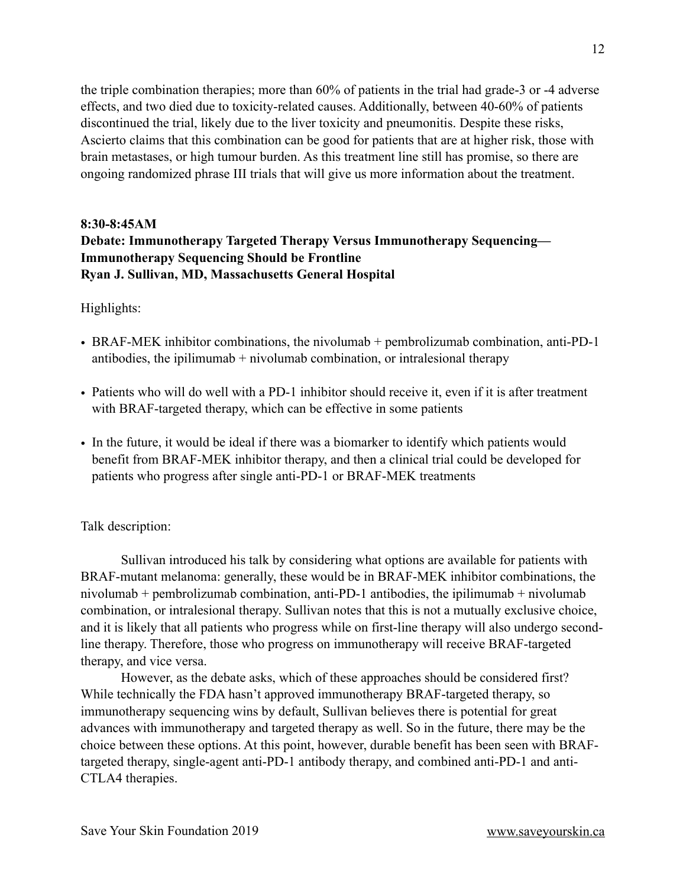the triple combination therapies; more than 60% of patients in the trial had grade-3 or -4 adverse effects, and two died due to toxicity-related causes. Additionally, between 40-60% of patients discontinued the trial, likely due to the liver toxicity and pneumonitis. Despite these risks, Ascierto claims that this combination can be good for patients that are at higher risk, those with brain metastases, or high tumour burden. As this treatment line still has promise, so there are ongoing randomized phrase III trials that will give us more information about the treatment.

# **8:30-8:45AM Debate: Immunotherapy Targeted Therapy Versus Immunotherapy Sequencing— Immunotherapy Sequencing Should be Frontline Ryan J. Sullivan, MD, Massachusetts General Hospital**

#### Highlights:

- BRAF-MEK inhibitor combinations, the nivolumab + pembrolizumab combination, anti-PD-1 antibodies, the ipilimumab  $+$  nivolumab combination, or intralesional therapy
- Patients who will do well with a PD-1 inhibitor should receive it, even if it is after treatment with BRAF-targeted therapy, which can be effective in some patients
- In the future, it would be ideal if there was a biomarker to identify which patients would benefit from BRAF-MEK inhibitor therapy, and then a clinical trial could be developed for patients who progress after single anti-PD-1 or BRAF-MEK treatments

#### Talk description:

 Sullivan introduced his talk by considering what options are available for patients with BRAF-mutant melanoma: generally, these would be in BRAF-MEK inhibitor combinations, the nivolumab + pembrolizumab combination, anti-PD-1 antibodies, the ipilimumab + nivolumab combination, or intralesional therapy. Sullivan notes that this is not a mutually exclusive choice, and it is likely that all patients who progress while on first-line therapy will also undergo secondline therapy. Therefore, those who progress on immunotherapy will receive BRAF-targeted therapy, and vice versa.

 However, as the debate asks, which of these approaches should be considered first? While technically the FDA hasn't approved immunotherapy BRAF-targeted therapy, so immunotherapy sequencing wins by default, Sullivan believes there is potential for great advances with immunotherapy and targeted therapy as well. So in the future, there may be the choice between these options. At this point, however, durable benefit has been seen with BRAFtargeted therapy, single-agent anti-PD-1 antibody therapy, and combined anti-PD-1 and anti-CTLA4 therapies.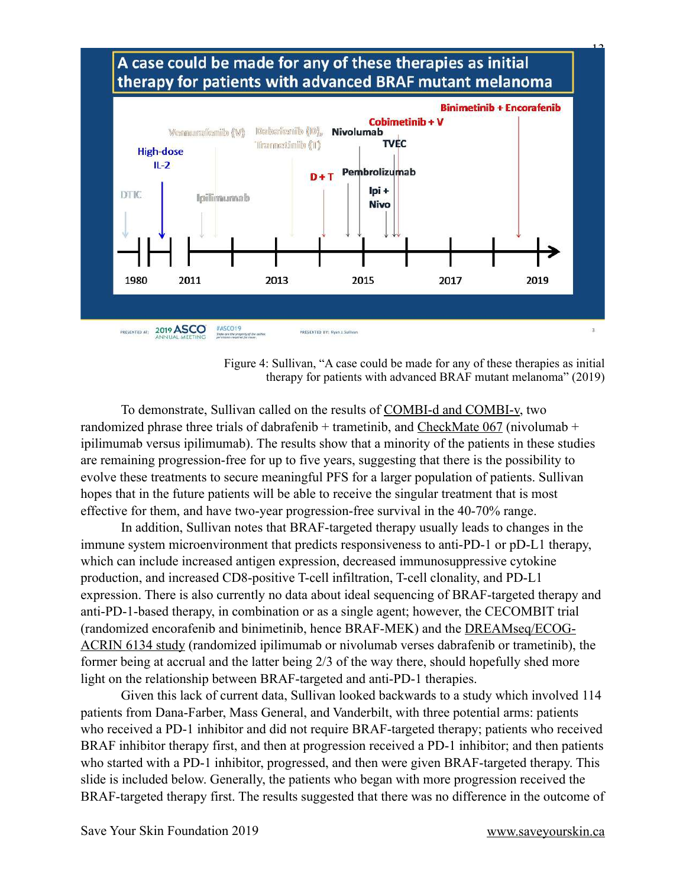



 To demonstrate, Sullivan called on the results of [COMBI-d and COMBI-v,](https://www.nejm.org/doi/full/10.1056/NEJMoa1904059) two randomized phrase three trials of dabrafenib + trametinib, and CheckMate  $067$  (nivolumab + ipilimumab versus ipilimumab). The results show that a minority of the patients in these studies are remaining progression-free for up to five years, suggesting that there is the possibility to evolve these treatments to secure meaningful PFS for a larger population of patients. Sullivan hopes that in the future patients will be able to receive the singular treatment that is most effective for them, and have two-year progression-free survival in the 40-70% range.

 In addition, Sullivan notes that BRAF-targeted therapy usually leads to changes in the immune system microenvironment that predicts responsiveness to anti-PD-1 or pD-L1 therapy, which can include increased antigen expression, decreased immunosuppressive cytokine production, and increased CD8-positive T-cell infiltration, T-cell clonality, and PD-L1 expression. There is also currently no data about ideal sequencing of BRAF-targeted therapy and anti-PD-1-based therapy, in combination or as a single agent; however, the CECOMBIT trial (randomized encorafenib and binimetinib, hence BRAF-MEK) and the [DREAMseq/ECOG-](https://clinicaltrials.gov/ct2/show/NCT02224781?term=DREAMseq&rank=1)[ACRIN 6134 study](https://clinicaltrials.gov/ct2/show/NCT02224781?term=DREAMseq&rank=1) (randomized ipilimumab or nivolumab verses dabrafenib or trametinib), the former being at accrual and the latter being 2/3 of the way there, should hopefully shed more light on the relationship between BRAF-targeted and anti-PD-1 therapies.

 Given this lack of current data, Sullivan looked backwards to a study which involved 114 patients from Dana-Farber, Mass General, and Vanderbilt, with three potential arms: patients who received a PD-1 inhibitor and did not require BRAF-targeted therapy; patients who received BRAF inhibitor therapy first, and then at progression received a PD-1 inhibitor; and then patients who started with a PD-1 inhibitor, progressed, and then were given BRAF-targeted therapy. This slide is included below. Generally, the patients who began with more progression received the BRAF-targeted therapy first. The results suggested that there was no difference in the outcome of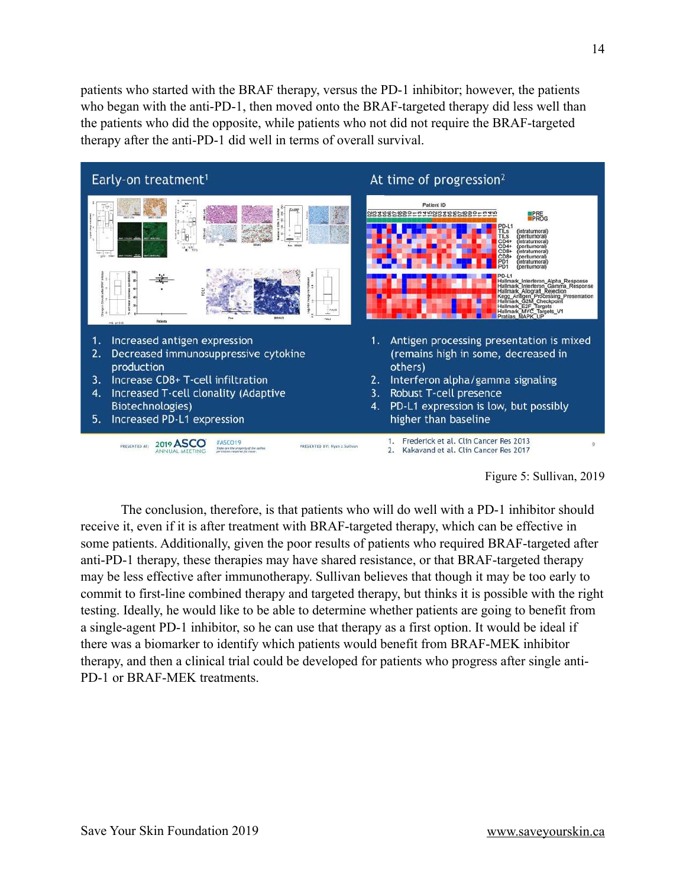patients who started with the BRAF therapy, versus the PD-1 inhibitor; however, the patients who began with the anti-PD-1, then moved onto the BRAF-targeted therapy did less well than the patients who did the opposite, while patients who not did not require the BRAF-targeted therapy after the anti-PD-1 did well in terms of overall survival.



Figure 5: Sullivan, 2019

 The conclusion, therefore, is that patients who will do well with a PD-1 inhibitor should receive it, even if it is after treatment with BRAF-targeted therapy, which can be effective in some patients. Additionally, given the poor results of patients who required BRAF-targeted after anti-PD-1 therapy, these therapies may have shared resistance, or that BRAF-targeted therapy may be less effective after immunotherapy. Sullivan believes that though it may be too early to commit to first-line combined therapy and targeted therapy, but thinks it is possible with the right testing. Ideally, he would like to be able to determine whether patients are going to benefit from a single-agent PD-1 inhibitor, so he can use that therapy as a first option. It would be ideal if there was a biomarker to identify which patients would benefit from BRAF-MEK inhibitor therapy, and then a clinical trial could be developed for patients who progress after single anti-PD-1 or BRAF-MEK treatments.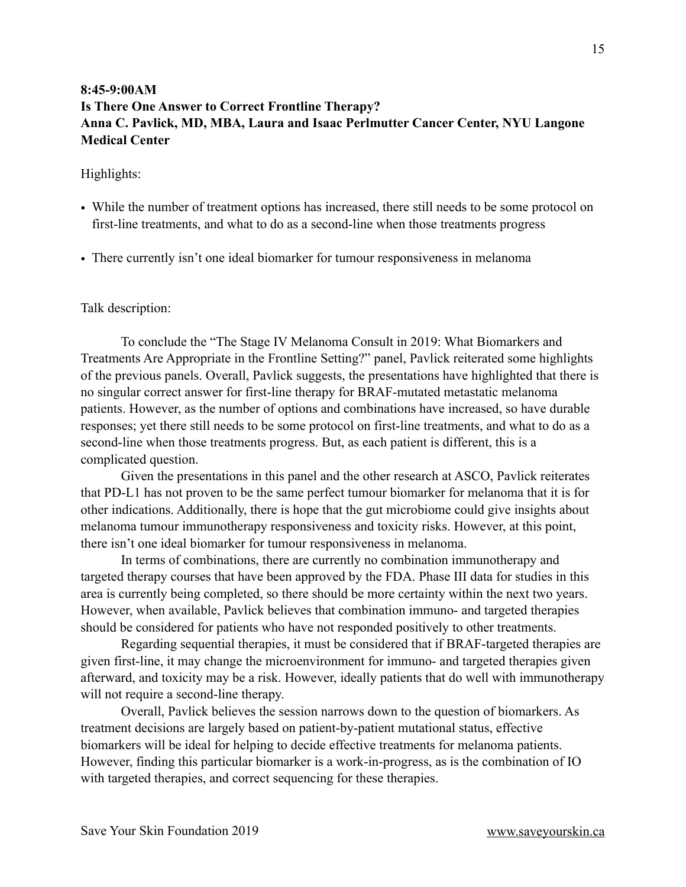# **8:45-9:00AM Is There One Answer to Correct Frontline Therapy? Anna C. Pavlick, MD, MBA, Laura and Isaac Perlmutter Cancer Center, NYU Langone Medical Center**

#### Highlights:

- While the number of treatment options has increased, there still needs to be some protocol on first-line treatments, and what to do as a second-line when those treatments progress
- There currently isn't one ideal biomarker for tumour responsiveness in melanoma

#### Talk description:

 To conclude the "The Stage IV Melanoma Consult in 2019: What Biomarkers and Treatments Are Appropriate in the Frontline Setting?" panel, Pavlick reiterated some highlights of the previous panels. Overall, Pavlick suggests, the presentations have highlighted that there is no singular correct answer for first-line therapy for BRAF-mutated metastatic melanoma patients. However, as the number of options and combinations have increased, so have durable responses; yet there still needs to be some protocol on first-line treatments, and what to do as a second-line when those treatments progress. But, as each patient is different, this is a complicated question.

 Given the presentations in this panel and the other research at ASCO, Pavlick reiterates that PD-L1 has not proven to be the same perfect tumour biomarker for melanoma that it is for other indications. Additionally, there is hope that the gut microbiome could give insights about melanoma tumour immunotherapy responsiveness and toxicity risks. However, at this point, there isn't one ideal biomarker for tumour responsiveness in melanoma.

 In terms of combinations, there are currently no combination immunotherapy and targeted therapy courses that have been approved by the FDA. Phase III data for studies in this area is currently being completed, so there should be more certainty within the next two years. However, when available, Pavlick believes that combination immuno- and targeted therapies should be considered for patients who have not responded positively to other treatments.

 Regarding sequential therapies, it must be considered that if BRAF-targeted therapies are given first-line, it may change the microenvironment for immuno- and targeted therapies given afterward, and toxicity may be a risk. However, ideally patients that do well with immunotherapy will not require a second-line therapy.

 Overall, Pavlick believes the session narrows down to the question of biomarkers. As treatment decisions are largely based on patient-by-patient mutational status, effective biomarkers will be ideal for helping to decide effective treatments for melanoma patients. However, finding this particular biomarker is a work-in-progress, as is the combination of IO with targeted therapies, and correct sequencing for these therapies.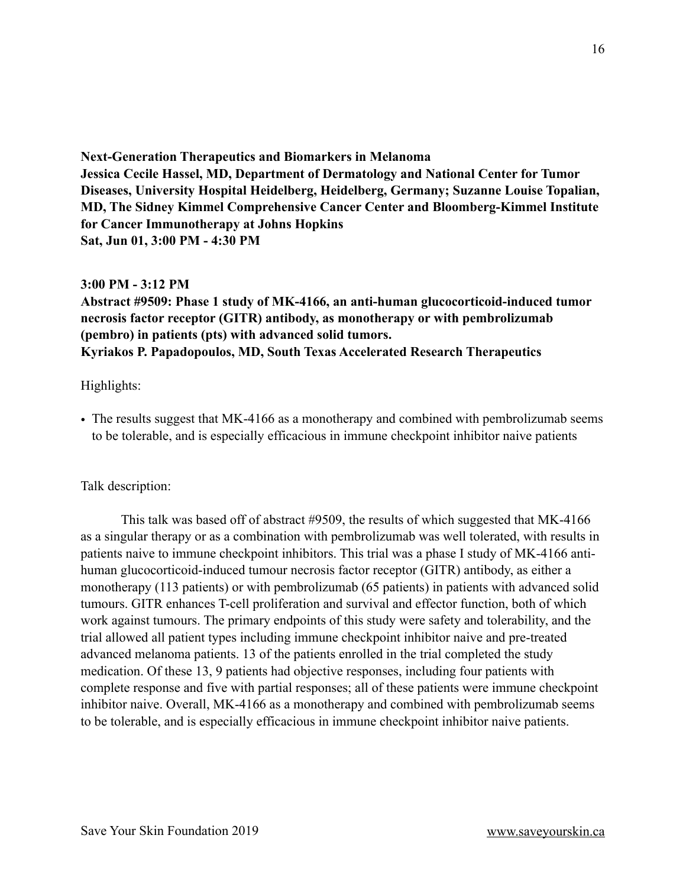<span id="page-15-1"></span><span id="page-15-0"></span>**Next-Generation Therapeutics and Biomarkers in Melanoma Jessica Cecile Hassel, MD, Department of Dermatology and National Center for Tumor Diseases, University Hospital Heidelberg, Heidelberg, Germany; Suzanne Louise Topalian, MD, The Sidney Kimmel Comprehensive Cancer Center and Bloomberg-Kimmel Institute for Cancer Immunotherapy at Johns Hopkins Sat, Jun 01, 3:00 PM - 4:30 PM**

#### <span id="page-15-2"></span>**3:00 PM - 3:12 PM**

**Abstract #9509: Phase 1 study of MK-4166, an anti-human glucocorticoid-induced tumor necrosis factor receptor (GITR) antibody, as monotherapy or with pembrolizumab (pembro) in patients (pts) with advanced solid tumors. Kyriakos P. Papadopoulos, MD, South Texas Accelerated Research Therapeutics**

### Highlights:

• The results suggest that MK-4166 as a monotherapy and combined with pembrolizumab seems to be tolerable, and is especially efficacious in immune checkpoint inhibitor naive patients

## Talk description:

 This talk was based off of abstract #9509, the results of which suggested that MK-4166 as a singular therapy or as a combination with pembrolizumab was well tolerated, with results in patients naive to immune checkpoint inhibitors. This trial was a phase I study of MK-4166 antihuman glucocorticoid-induced tumour necrosis factor receptor (GITR) antibody, as either a monotherapy (113 patients) or with pembrolizumab (65 patients) in patients with advanced solid tumours. GITR enhances T-cell proliferation and survival and effector function, both of which work against tumours. The primary endpoints of this study were safety and tolerability, and the trial allowed all patient types including immune checkpoint inhibitor naive and pre-treated advanced melanoma patients. 13 of the patients enrolled in the trial completed the study medication. Of these 13, 9 patients had objective responses, including four patients with complete response and five with partial responses; all of these patients were immune checkpoint inhibitor naive. Overall, MK-4166 as a monotherapy and combined with pembrolizumab seems to be tolerable, and is especially efficacious in immune checkpoint inhibitor naive patients.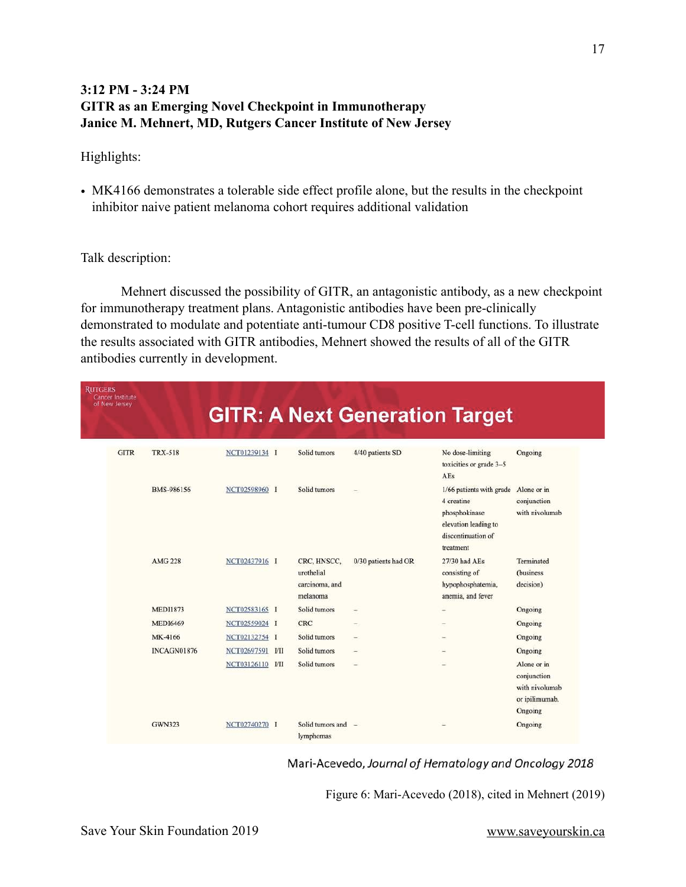# **3:12 PM - 3:24 PM GITR as an Emerging Novel Checkpoint in Immunotherapy Janice M. Mehnert, MD, Rutgers Cancer Institute of New Jersey**

#### Highlights:

• MK4166 demonstrates a tolerable side effect profile alone, but the results in the checkpoint inhibitor naive patient melanoma cohort requires additional validation

#### Talk description:

 Mehnert discussed the possibility of GITR, an antagonistic antibody, as a new checkpoint for immunotherapy treatment plans. Antagonistic antibodies have been pre-clinically demonstrated to modulate and potentiate anti-tumour CD8 positive T-cell functions. To illustrate the results associated with GITR antibodies, Mehnert showed the results of all of the GITR antibodies currently in development.

| <b>RUTGERS</b><br>Cancer Institute<br>of New Jersey |                    |                  |                                                         |                      | <b>GITR: A Next Generation Target</b>                                                                                          |                                                                           |
|-----------------------------------------------------|--------------------|------------------|---------------------------------------------------------|----------------------|--------------------------------------------------------------------------------------------------------------------------------|---------------------------------------------------------------------------|
| <b>GITR</b>                                         | <b>TRX-518</b>     | NCT01239134 I    | Solid tumors                                            | 4/40 patients SD     | No dose-limiting<br>toxicities or grade 3-5<br>AEs                                                                             | Ongoing                                                                   |
|                                                     | BMS-986156         | NCT02598960 I    | Solid tumors                                            |                      | 1/66 patients with grade Alone or in<br>4 creatine<br>phosphokinase<br>elevation leading to<br>discontinuation of<br>treatment | conjunction<br>with nivolumab                                             |
|                                                     | <b>AMG 228</b>     | NCT02437916 I    | CRC, HNSCC,<br>urothelial<br>carcinoma, and<br>melanoma | 0/30 patients had OR | 27/30 had AEs<br>consisting of<br>hypophosphatemia,<br>anemia, and fever                                                       | Terminated<br>(business)<br>decision)                                     |
|                                                     | <b>MEDI1873</b>    | NCT02583165 I    | Solid tumors                                            |                      |                                                                                                                                | Ongoing                                                                   |
|                                                     | <b>MEDI6469</b>    | NCT02559024 I    | <b>CRC</b>                                              |                      |                                                                                                                                | Ongoing                                                                   |
|                                                     | MK-4166            | NCT02132754 I    | Solid tumors                                            |                      |                                                                                                                                | Ongoing                                                                   |
|                                                     | <b>INCAGN01876</b> | NCT02697591 I/II | Solid tumors                                            |                      |                                                                                                                                | Ongoing                                                                   |
|                                                     |                    | NCT03126110 I/II | Solid tumors                                            |                      |                                                                                                                                | Alone or in<br>conjunction<br>with nivolumab<br>or ipilimumab.<br>Ongoing |
|                                                     | <b>GWN323</b>      | NCT02740270 I    | Solid tumors and -<br>lymphomas                         |                      |                                                                                                                                | Ongoing                                                                   |

#### Mari-Acevedo, Journal of Hematology and Oncology 2018

Figure 6: Mari-Acevedo (2018), cited in Mehnert (2019)

17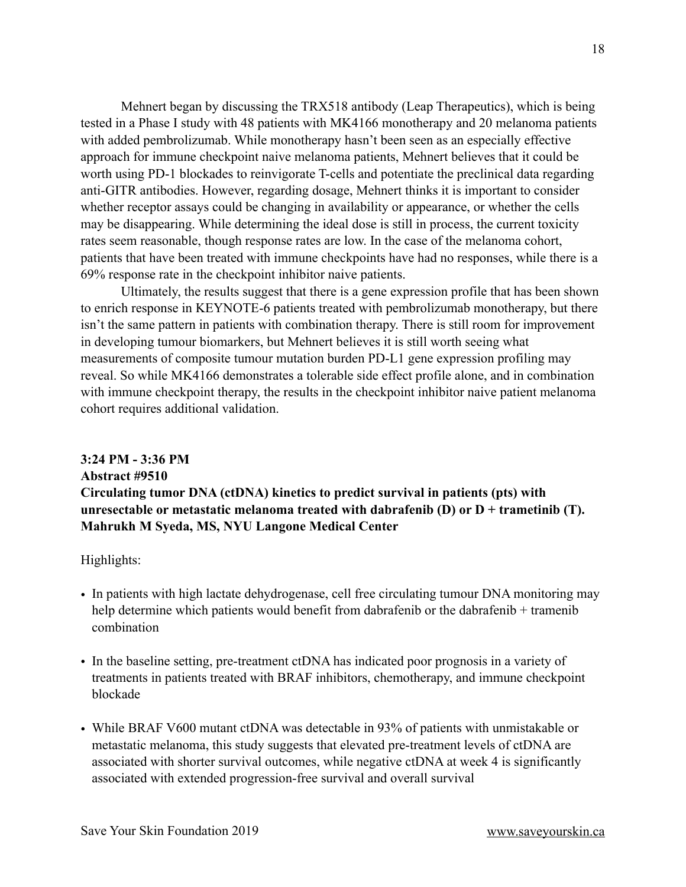Mehnert began by discussing the TRX518 antibody (Leap Therapeutics), which is being tested in a Phase I study with 48 patients with MK4166 monotherapy and 20 melanoma patients with added pembrolizumab. While monotherapy hasn't been seen as an especially effective approach for immune checkpoint naive melanoma patients, Mehnert believes that it could be worth using PD-1 blockades to reinvigorate T-cells and potentiate the preclinical data regarding anti-GITR antibodies. However, regarding dosage, Mehnert thinks it is important to consider whether receptor assays could be changing in availability or appearance, or whether the cells may be disappearing. While determining the ideal dose is still in process, the current toxicity rates seem reasonable, though response rates are low. In the case of the melanoma cohort, patients that have been treated with immune checkpoints have had no responses, while there is a 69% response rate in the checkpoint inhibitor naive patients.

 Ultimately, the results suggest that there is a gene expression profile that has been shown to enrich response in KEYNOTE-6 patients treated with pembrolizumab monotherapy, but there isn't the same pattern in patients with combination therapy. There is still room for improvement in developing tumour biomarkers, but Mehnert believes it is still worth seeing what measurements of composite tumour mutation burden PD-L1 gene expression profiling may reveal. So while MK4166 demonstrates a tolerable side effect profile alone, and in combination with immune checkpoint therapy, the results in the checkpoint inhibitor naive patient melanoma cohort requires additional validation.

# **3:24 PM - 3:36 PM Abstract #9510 Circulating tumor DNA (ctDNA) kinetics to predict survival in patients (pts) with unresectable or metastatic melanoma treated with dabrafenib (D) or D + trametinib (T). Mahrukh M Syeda, MS, NYU Langone Medical Center**

Highlights:

- In patients with high lactate dehydrogenase, cell free circulating tumour DNA monitoring may help determine which patients would benefit from dabrafenib or the dabrafenib + tramenib combination
- In the baseline setting, pre-treatment ctDNA has indicated poor prognosis in a variety of treatments in patients treated with BRAF inhibitors, chemotherapy, and immune checkpoint blockade
- While BRAF V600 mutant ctDNA was detectable in 93% of patients with unmistakable or metastatic melanoma, this study suggests that elevated pre-treatment levels of ctDNA are associated with shorter survival outcomes, while negative ctDNA at week 4 is significantly associated with extended progression-free survival and overall survival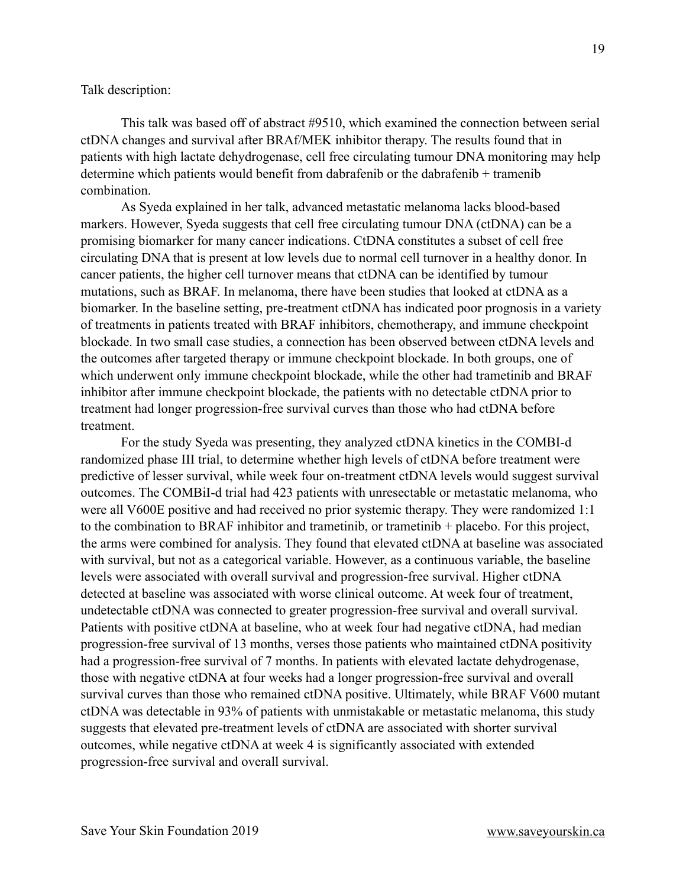Talk description:

 This talk was based off of abstract #9510, which examined the connection between serial ctDNA changes and survival after BRAf/MEK inhibitor therapy. The results found that in patients with high lactate dehydrogenase, cell free circulating tumour DNA monitoring may help determine which patients would benefit from dabrafenib or the dabrafenib + tramenib combination.

 As Syeda explained in her talk, advanced metastatic melanoma lacks blood-based markers. However, Syeda suggests that cell free circulating tumour DNA (ctDNA) can be a promising biomarker for many cancer indications. CtDNA constitutes a subset of cell free circulating DNA that is present at low levels due to normal cell turnover in a healthy donor. In cancer patients, the higher cell turnover means that ctDNA can be identified by tumour mutations, such as BRAF. In melanoma, there have been studies that looked at ctDNA as a biomarker. In the baseline setting, pre-treatment ctDNA has indicated poor prognosis in a variety of treatments in patients treated with BRAF inhibitors, chemotherapy, and immune checkpoint blockade. In two small case studies, a connection has been observed between ctDNA levels and the outcomes after targeted therapy or immune checkpoint blockade. In both groups, one of which underwent only immune checkpoint blockade, while the other had trametinib and BRAF inhibitor after immune checkpoint blockade, the patients with no detectable ctDNA prior to treatment had longer progression-free survival curves than those who had ctDNA before treatment.

 For the study Syeda was presenting, they analyzed ctDNA kinetics in the COMBI-d randomized phase III trial, to determine whether high levels of ctDNA before treatment were predictive of lesser survival, while week four on-treatment ctDNA levels would suggest survival outcomes. The COMBiI-d trial had 423 patients with unresectable or metastatic melanoma, who were all V600E positive and had received no prior systemic therapy. They were randomized 1:1 to the combination to BRAF inhibitor and trametinib, or trametinib + placebo. For this project, the arms were combined for analysis. They found that elevated ctDNA at baseline was associated with survival, but not as a categorical variable. However, as a continuous variable, the baseline levels were associated with overall survival and progression-free survival. Higher ctDNA detected at baseline was associated with worse clinical outcome. At week four of treatment, undetectable ctDNA was connected to greater progression-free survival and overall survival. Patients with positive ctDNA at baseline, who at week four had negative ctDNA, had median progression-free survival of 13 months, verses those patients who maintained ctDNA positivity had a progression-free survival of 7 months. In patients with elevated lactate dehydrogenase, those with negative ctDNA at four weeks had a longer progression-free survival and overall survival curves than those who remained ctDNA positive. Ultimately, while BRAF V600 mutant ctDNA was detectable in 93% of patients with unmistakable or metastatic melanoma, this study suggests that elevated pre-treatment levels of ctDNA are associated with shorter survival outcomes, while negative ctDNA at week 4 is significantly associated with extended progression-free survival and overall survival.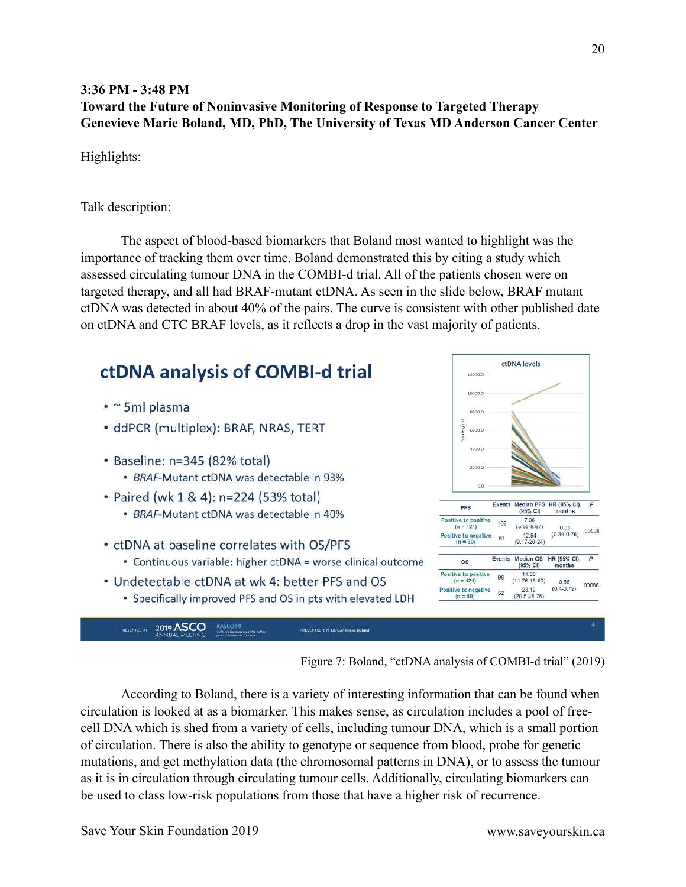# **3:36 PM - 3:48 PM Toward the Future of Noninvasive Monitoring of Response to Targeted Therapy Genevieve Marie Boland, MD, PhD, The University of Texas MD Anderson Cancer Center**

Highlights:

Talk description:

 The aspect of blood-based biomarkers that Boland most wanted to highlight was the importance of tracking them over time. Boland demonstrated this by citing a study which assessed circulating tumour DNA in the COMBI-d trial. All of the patients chosen were on targeted therapy, and all had BRAF-mutant ctDNA. As seen in the slide below, BRAF mutant ctDNA was detected in about 40% of the pairs. The curve is consistent with other published date on ctDNA and CTC BRAF levels, as it reflects a drop in the vast majority of patients.



Figure 7: Boland, "ctDNA analysis of COMBI-d trial" (2019)

 According to Boland, there is a variety of interesting information that can be found when circulation is looked at as a biomarker. This makes sense, as circulation includes a pool of freecell DNA which is shed from a variety of cells, including tumour DNA, which is a small portion of circulation. There is also the ability to genotype or sequence from blood, probe for genetic mutations, and get methylation data (the chromosomal patterns in DNA), or to assess the tumour as it is in circulation through circulating tumour cells. Additionally, circulating biomarkers can be used to class low-risk populations from those that have a higher risk of recurrence.

Save Your Skin Foundation 2019 [www.saveyourskin.ca](http://www.saveyourskin.ca)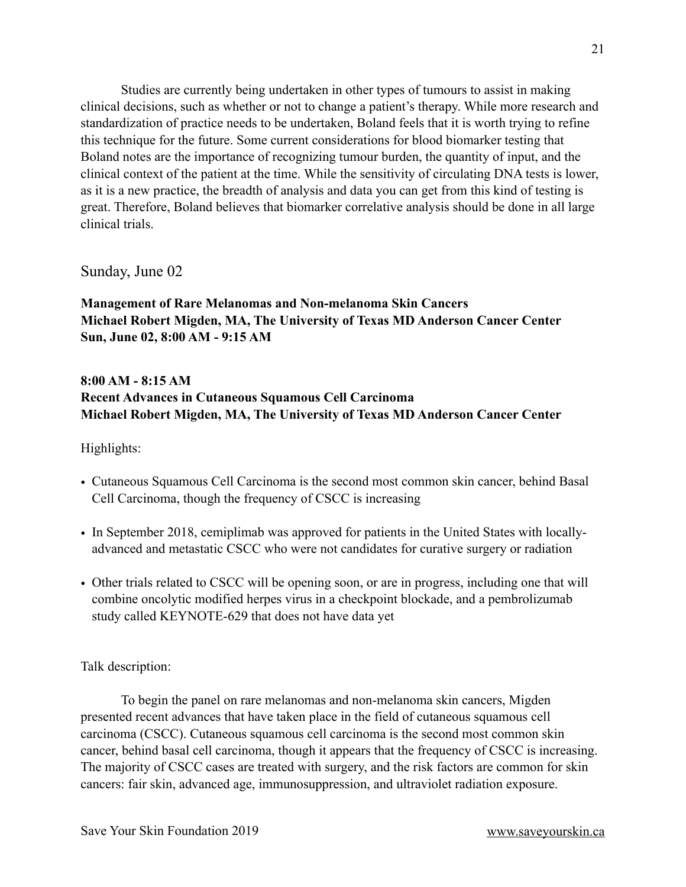Studies are currently being undertaken in other types of tumours to assist in making clinical decisions, such as whether or not to change a patient's therapy. While more research and standardization of practice needs to be undertaken, Boland feels that it is worth trying to refine this technique for the future. Some current considerations for blood biomarker testing that Boland notes are the importance of recognizing tumour burden, the quantity of input, and the clinical context of the patient at the time. While the sensitivity of circulating DNA tests is lower, as it is a new practice, the breadth of analysis and data you can get from this kind of testing is great. Therefore, Boland believes that biomarker correlative analysis should be done in all large clinical trials.

Sunday, June 02

<span id="page-20-2"></span><span id="page-20-1"></span><span id="page-20-0"></span>**Management of Rare Melanomas and Non-melanoma Skin Cancers Michael Robert Migden, MA, The University of Texas MD Anderson Cancer Center Sun, June 02, 8:00 AM - 9:15 AM**

# **8:00 AM - 8:15 AM Recent Advances in Cutaneous Squamous Cell Carcinoma Michael Robert Migden, MA, The University of Texas MD Anderson Cancer Center**

Highlights:

- Cutaneous Squamous Cell Carcinoma is the second most common skin cancer, behind Basal Cell Carcinoma, though the frequency of CSCC is increasing
- In September 2018, cemiplimab was approved for patients in the United States with locallyadvanced and metastatic CSCC who were not candidates for curative surgery or radiation
- Other trials related to CSCC will be opening soon, or are in progress, including one that will combine oncolytic modified herpes virus in a checkpoint blockade, and a pembrolizumab study called KEYNOTE-629 that does not have data yet

Talk description:

 To begin the panel on rare melanomas and non-melanoma skin cancers, Migden presented recent advances that have taken place in the field of cutaneous squamous cell carcinoma (CSCC). Cutaneous squamous cell carcinoma is the second most common skin cancer, behind basal cell carcinoma, though it appears that the frequency of CSCC is increasing. The majority of CSCC cases are treated with surgery, and the risk factors are common for skin cancers: fair skin, advanced age, immunosuppression, and ultraviolet radiation exposure.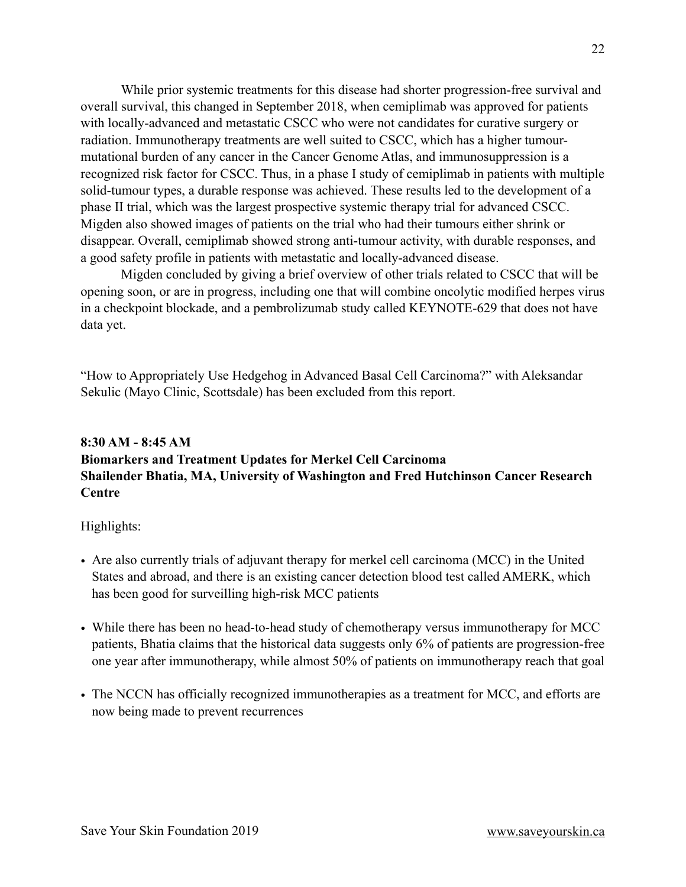While prior systemic treatments for this disease had shorter progression-free survival and overall survival, this changed in September 2018, when cemiplimab was approved for patients with locally-advanced and metastatic CSCC who were not candidates for curative surgery or radiation. Immunotherapy treatments are well suited to CSCC, which has a higher tumourmutational burden of any cancer in the Cancer Genome Atlas, and immunosuppression is a recognized risk factor for CSCC. Thus, in a phase I study of cemiplimab in patients with multiple solid-tumour types, a durable response was achieved. These results led to the development of a phase II trial, which was the largest prospective systemic therapy trial for advanced CSCC. Migden also showed images of patients on the trial who had their tumours either shrink or disappear. Overall, cemiplimab showed strong anti-tumour activity, with durable responses, and a good safety profile in patients with metastatic and locally-advanced disease.

 Migden concluded by giving a brief overview of other trials related to CSCC that will be opening soon, or are in progress, including one that will combine oncolytic modified herpes virus in a checkpoint blockade, and a pembrolizumab study called KEYNOTE-629 that does not have data yet.

"How to Appropriately Use Hedgehog in Advanced Basal Cell Carcinoma?" with Aleksandar Sekulic (Mayo Clinic, Scottsdale) has been excluded from this report.

# **8:30 AM - 8:45 AM Biomarkers and Treatment Updates for Merkel Cell Carcinoma Shailender Bhatia, MA, University of Washington and Fred Hutchinson Cancer Research Centre**

Highlights:

- Are also currently trials of adjuvant therapy for merkel cell carcinoma (MCC) in the United States and abroad, and there is an existing cancer detection blood test called AMERK, which has been good for surveilling high-risk MCC patients
- While there has been no head-to-head study of chemotherapy versus immunotherapy for MCC patients, Bhatia claims that the historical data suggests only 6% of patients are progression-free one year after immunotherapy, while almost 50% of patients on immunotherapy reach that goal
- The NCCN has officially recognized immunotherapies as a treatment for MCC, and efforts are now being made to prevent recurrences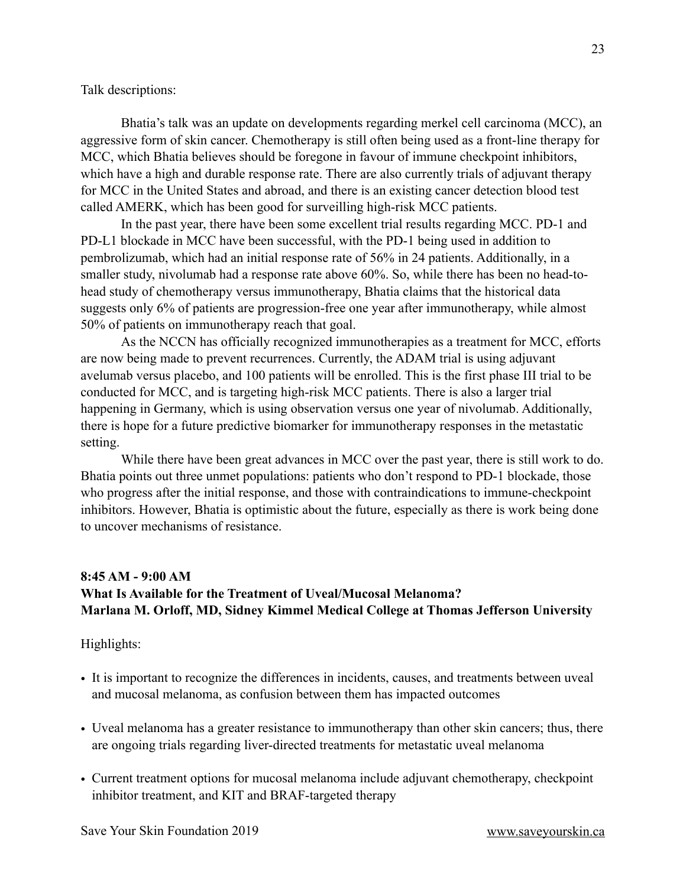Talk descriptions:

 Bhatia's talk was an update on developments regarding merkel cell carcinoma (MCC), an aggressive form of skin cancer. Chemotherapy is still often being used as a front-line therapy for MCC, which Bhatia believes should be foregone in favour of immune checkpoint inhibitors, which have a high and durable response rate. There are also currently trials of adjuvant therapy for MCC in the United States and abroad, and there is an existing cancer detection blood test called AMERK, which has been good for surveilling high-risk MCC patients.

 In the past year, there have been some excellent trial results regarding MCC. PD-1 and PD-L1 blockade in MCC have been successful, with the PD-1 being used in addition to pembrolizumab, which had an initial response rate of 56% in 24 patients. Additionally, in a smaller study, nivolumab had a response rate above 60%. So, while there has been no head-tohead study of chemotherapy versus immunotherapy, Bhatia claims that the historical data suggests only 6% of patients are progression-free one year after immunotherapy, while almost 50% of patients on immunotherapy reach that goal.

 As the NCCN has officially recognized immunotherapies as a treatment for MCC, efforts are now being made to prevent recurrences. Currently, the ADAM trial is using adjuvant avelumab versus placebo, and 100 patients will be enrolled. This is the first phase III trial to be conducted for MCC, and is targeting high-risk MCC patients. There is also a larger trial happening in Germany, which is using observation versus one year of nivolumab. Additionally, there is hope for a future predictive biomarker for immunotherapy responses in the metastatic setting.

 While there have been great advances in MCC over the past year, there is still work to do. Bhatia points out three unmet populations: patients who don't respond to PD-1 blockade, those who progress after the initial response, and those with contraindications to immune-checkpoint inhibitors. However, Bhatia is optimistic about the future, especially as there is work being done to uncover mechanisms of resistance.

#### **8:45 AM - 9:00 AM**

# **What Is Available for the Treatment of Uveal/Mucosal Melanoma? Marlana M. Orloff, MD, Sidney Kimmel Medical College at Thomas Jefferson University**

#### Highlights:

- It is important to recognize the differences in incidents, causes, and treatments between uveal and mucosal melanoma, as confusion between them has impacted outcomes
- Uveal melanoma has a greater resistance to immunotherapy than other skin cancers; thus, there are ongoing trials regarding liver-directed treatments for metastatic uveal melanoma
- Current treatment options for mucosal melanoma include adjuvant chemotherapy, checkpoint inhibitor treatment, and KIT and BRAF-targeted therapy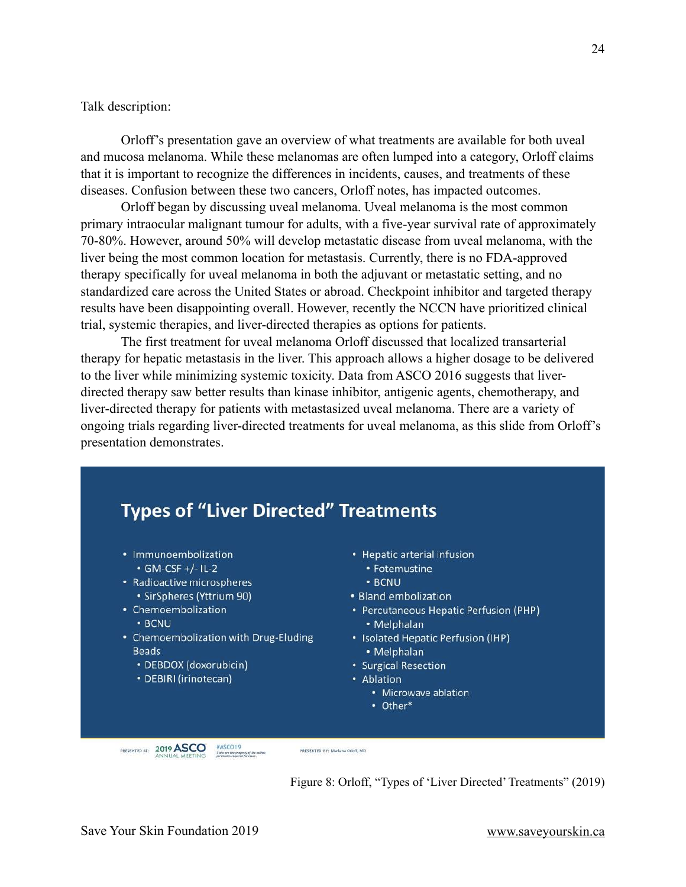Talk description:

 Orloff's presentation gave an overview of what treatments are available for both uveal and mucosa melanoma. While these melanomas are often lumped into a category, Orloff claims that it is important to recognize the differences in incidents, causes, and treatments of these diseases. Confusion between these two cancers, Orloff notes, has impacted outcomes.

 Orloff began by discussing uveal melanoma. Uveal melanoma is the most common primary intraocular malignant tumour for adults, with a five-year survival rate of approximately 70-80%. However, around 50% will develop metastatic disease from uveal melanoma, with the liver being the most common location for metastasis. Currently, there is no FDA-approved therapy specifically for uveal melanoma in both the adjuvant or metastatic setting, and no standardized care across the United States or abroad. Checkpoint inhibitor and targeted therapy results have been disappointing overall. However, recently the NCCN have prioritized clinical trial, systemic therapies, and liver-directed therapies as options for patients.

 The first treatment for uveal melanoma Orloff discussed that localized transarterial therapy for hepatic metastasis in the liver. This approach allows a higher dosage to be delivered to the liver while minimizing systemic toxicity. Data from ASCO 2016 suggests that liverdirected therapy saw better results than kinase inhibitor, antigenic agents, chemotherapy, and liver-directed therapy for patients with metastasized uveal melanoma. There are a variety of ongoing trials regarding liver-directed treatments for uveal melanoma, as this slide from Orloff's presentation demonstrates.



Figure 8: Orloff, "Types of 'Liver Directed' Treatments" (2019)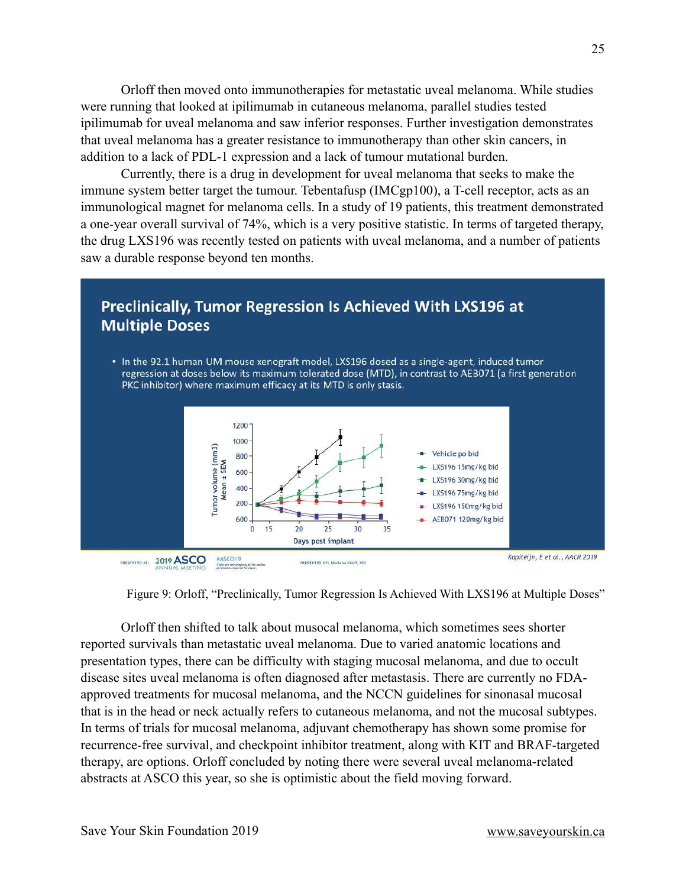Orloff then moved onto immunotherapies for metastatic uveal melanoma. While studies were running that looked at ipilimumab in cutaneous melanoma, parallel studies tested ipilimumab for uveal melanoma and saw inferior responses. Further investigation demonstrates that uveal melanoma has a greater resistance to immunotherapy than other skin cancers, in addition to a lack of PDL-1 expression and a lack of tumour mutational burden.

 Currently, there is a drug in development for uveal melanoma that seeks to make the immune system better target the tumour. Tebentafusp (IMCgp100), a T-cell receptor, acts as an immunological magnet for melanoma cells. In a study of 19 patients, this treatment demonstrated a one-year overall survival of 74%, which is a very positive statistic. In terms of targeted therapy, the drug LXS196 was recently tested on patients with uveal melanoma, and a number of patients saw a durable response beyond ten months.





 Orloff then shifted to talk about musocal melanoma, which sometimes sees shorter reported survivals than metastatic uveal melanoma. Due to varied anatomic locations and presentation types, there can be difficulty with staging mucosal melanoma, and due to occult disease sites uveal melanoma is often diagnosed after metastasis. There are currently no FDAapproved treatments for mucosal melanoma, and the NCCN guidelines for sinonasal mucosal that is in the head or neck actually refers to cutaneous melanoma, and not the mucosal subtypes. In terms of trials for mucosal melanoma, adjuvant chemotherapy has shown some promise for recurrence-free survival, and checkpoint inhibitor treatment, along with KIT and BRAF-targeted therapy, are options. Orloff concluded by noting there were several uveal melanoma-related abstracts at ASCO this year, so she is optimistic about the field moving forward.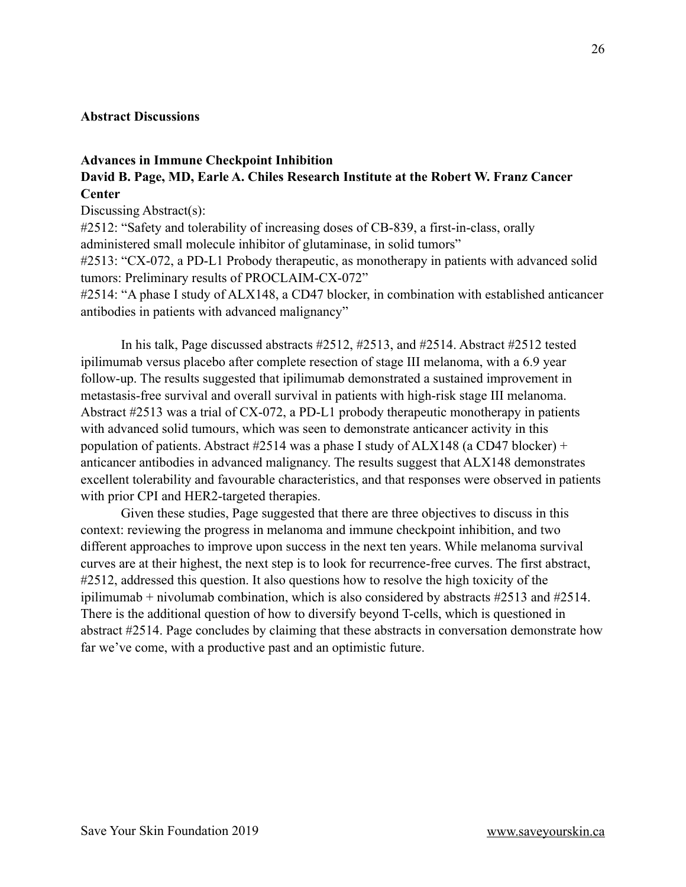#### <span id="page-25-0"></span>**Abstract Discussions**

## **Advances in Immune Checkpoint Inhibition David B. Page, MD, Earle A. Chiles Research Institute at the Robert W. Franz Cancer Center**

Discussing Abstract(s):

#2512: "Safety and tolerability of increasing doses of CB-839, a first-in-class, orally administered small molecule inhibitor of glutaminase, in solid tumors"

#2513: "CX-072, a PD-L1 Probody therapeutic, as monotherapy in patients with advanced solid tumors: Preliminary results of PROCLAIM-CX-072"

#2514: "A phase I study of ALX148, a CD47 blocker, in combination with established anticancer antibodies in patients with advanced malignancy"

 In his talk, Page discussed abstracts #2512, #2513, and #2514. Abstract #2512 tested ipilimumab versus placebo after complete resection of stage III melanoma, with a 6.9 year follow-up. The results suggested that ipilimumab demonstrated a sustained improvement in metastasis-free survival and overall survival in patients with high-risk stage III melanoma. Abstract #2513 was a trial of CX-072, a PD-L1 probody therapeutic monotherapy in patients with advanced solid tumours, which was seen to demonstrate anticancer activity in this population of patients. Abstract #2514 was a phase I study of ALX148 (a CD47 blocker) + anticancer antibodies in advanced malignancy. The results suggest that ALX148 demonstrates excellent tolerability and favourable characteristics, and that responses were observed in patients with prior CPI and HER2-targeted therapies.

 Given these studies, Page suggested that there are three objectives to discuss in this context: reviewing the progress in melanoma and immune checkpoint inhibition, and two different approaches to improve upon success in the next ten years. While melanoma survival curves are at their highest, the next step is to look for recurrence-free curves. The first abstract, #2512, addressed this question. It also questions how to resolve the high toxicity of the ipilimumab + nivolumab combination, which is also considered by abstracts #2513 and #2514. There is the additional question of how to diversify beyond T-cells, which is questioned in abstract #2514. Page concludes by claiming that these abstracts in conversation demonstrate how far we've come, with a productive past and an optimistic future.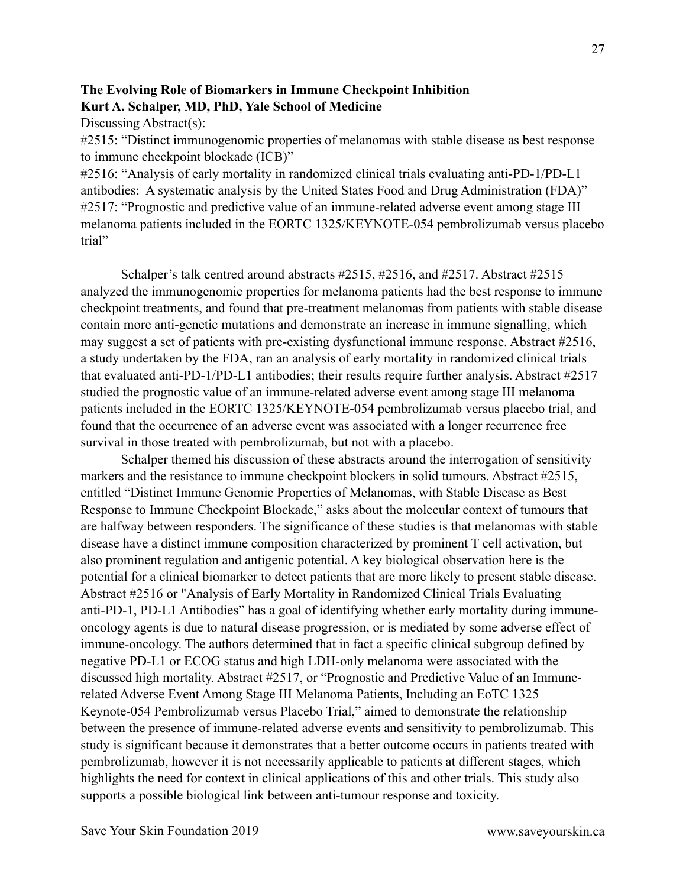# **The Evolving Role of Biomarkers in Immune Checkpoint Inhibition Kurt A. Schalper, MD, PhD, Yale School of Medicine**

Discussing Abstract(s):

#2515: "Distinct immunogenomic properties of melanomas with stable disease as best response to immune checkpoint blockade (ICB)"

#2516: "Analysis of early mortality in randomized clinical trials evaluating anti-PD-1/PD-L1 antibodies: A systematic analysis by the United States Food and Drug Administration (FDA)" #2517: "Prognostic and predictive value of an immune-related adverse event among stage III melanoma patients included in the EORTC 1325/KEYNOTE-054 pembrolizumab versus placebo trial"

 Schalper's talk centred around abstracts #2515, #2516, and #2517. Abstract #2515 analyzed the immunogenomic properties for melanoma patients had the best response to immune checkpoint treatments, and found that pre-treatment melanomas from patients with stable disease contain more anti-genetic mutations and demonstrate an increase in immune signalling, which may suggest a set of patients with pre-existing dysfunctional immune response. Abstract #2516, a study undertaken by the FDA, ran an analysis of early mortality in randomized clinical trials that evaluated anti-PD-1/PD-L1 antibodies; their results require further analysis. Abstract #2517 studied the prognostic value of an immune-related adverse event among stage III melanoma patients included in the EORTC 1325/KEYNOTE-054 pembrolizumab versus placebo trial, and found that the occurrence of an adverse event was associated with a longer recurrence free survival in those treated with pembrolizumab, but not with a placebo.

 Schalper themed his discussion of these abstracts around the interrogation of sensitivity markers and the resistance to immune checkpoint blockers in solid tumours. Abstract #2515, entitled "Distinct Immune Genomic Properties of Melanomas, with Stable Disease as Best Response to Immune Checkpoint Blockade," asks about the molecular context of tumours that are halfway between responders. The significance of these studies is that melanomas with stable disease have a distinct immune composition characterized by prominent T cell activation, but also prominent regulation and antigenic potential. A key biological observation here is the potential for a clinical biomarker to detect patients that are more likely to present stable disease. Abstract #2516 or "Analysis of Early Mortality in Randomized Clinical Trials Evaluating anti-PD-1, PD-L1 Antibodies" has a goal of identifying whether early mortality during immuneoncology agents is due to natural disease progression, or is mediated by some adverse effect of immune-oncology. The authors determined that in fact a specific clinical subgroup defined by negative PD-L1 or ECOG status and high LDH-only melanoma were associated with the discussed high mortality. Abstract #2517, or "Prognostic and Predictive Value of an Immunerelated Adverse Event Among Stage III Melanoma Patients, Including an EoTC 1325 Keynote-054 Pembrolizumab versus Placebo Trial," aimed to demonstrate the relationship between the presence of immune-related adverse events and sensitivity to pembrolizumab. This study is significant because it demonstrates that a better outcome occurs in patients treated with pembrolizumab, however it is not necessarily applicable to patients at different stages, which highlights the need for context in clinical applications of this and other trials. This study also supports a possible biological link between anti-tumour response and toxicity.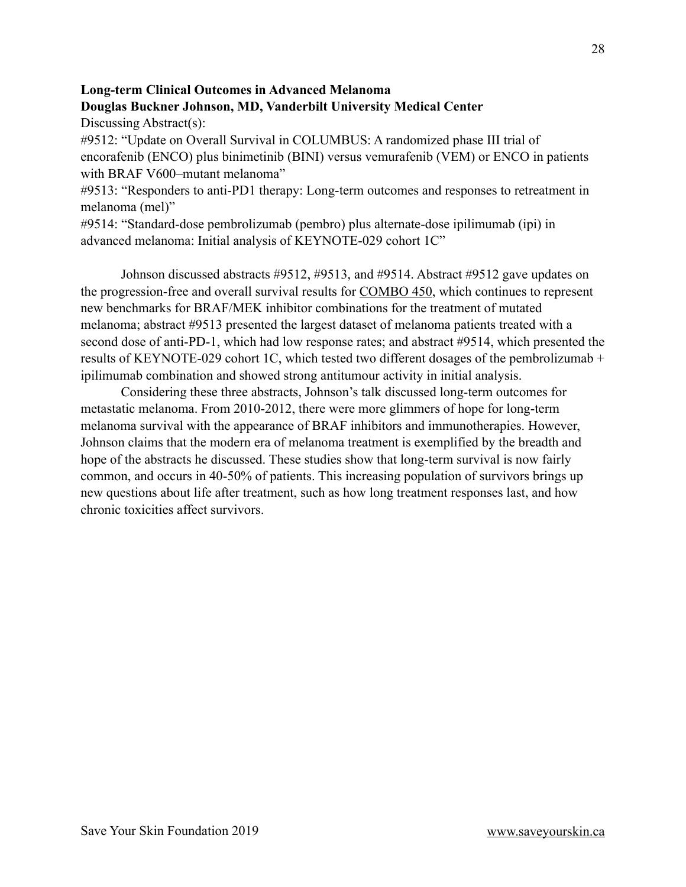# **Long-term Clinical Outcomes in Advanced Melanoma Douglas Buckner Johnson, MD, Vanderbilt University Medical Center**

Discussing Abstract(s):

#9512: "Update on Overall Survival in COLUMBUS: A randomized phase III trial of encorafenib (ENCO) plus binimetinib (BINI) versus vemurafenib (VEM) or ENCO in patients with BRAF V600–mutant melanoma"

#9513: "Responders to anti-PD1 therapy: Long-term outcomes and responses to retreatment in melanoma (mel)"

#9514: "Standard-dose pembrolizumab (pembro) plus alternate-dose ipilimumab (ipi) in advanced melanoma: Initial analysis of KEYNOTE-029 cohort 1C"

 Johnson discussed abstracts #9512, #9513, and #9514. Abstract #9512 gave updates on the progression-free and overall survival results for [COMBO 450,](https://clinicaltrials.gov/ct2/show/NCT03898908?term=COMBO450&rank=1) which continues to represent new benchmarks for BRAF/MEK inhibitor combinations for the treatment of mutated melanoma; abstract #9513 presented the largest dataset of melanoma patients treated with a second dose of anti-PD-1, which had low response rates; and abstract #9514, which presented the results of KEYNOTE-029 cohort 1C, which tested two different dosages of the pembrolizumab + ipilimumab combination and showed strong antitumour activity in initial analysis.

 Considering these three abstracts, Johnson's talk discussed long-term outcomes for metastatic melanoma. From 2010-2012, there were more glimmers of hope for long-term melanoma survival with the appearance of BRAF inhibitors and immunotherapies. However, Johnson claims that the modern era of melanoma treatment is exemplified by the breadth and hope of the abstracts he discussed. These studies show that long-term survival is now fairly common, and occurs in 40-50% of patients. This increasing population of survivors brings up new questions about life after treatment, such as how long treatment responses last, and how chronic toxicities affect survivors.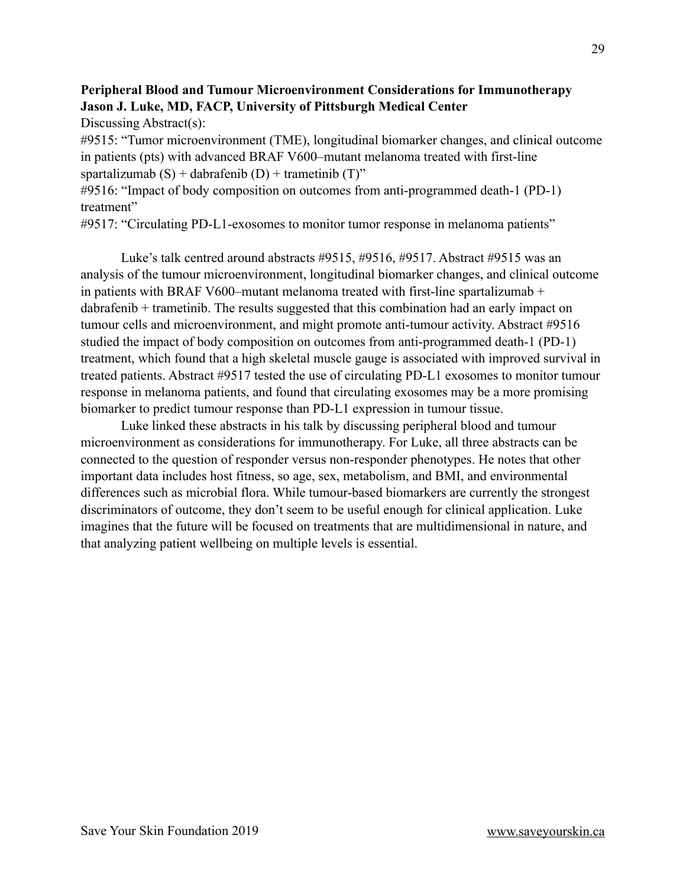# **Peripheral Blood and Tumour Microenvironment Considerations for Immunotherapy Jason J. Luke, MD, FACP, University of Pittsburgh Medical Center**

Discussing Abstract(s):

#9515: "Tumor microenvironment (TME), longitudinal biomarker changes, and clinical outcome in patients (pts) with advanced BRAF V600–mutant melanoma treated with first-line spartalizumab  $(S)$  + dabrafenib  $(D)$  + trametinib  $(T)$ "

#9516: "Impact of body composition on outcomes from anti-programmed death-1 (PD-1) treatment"

#9517: "Circulating PD-L1-exosomes to monitor tumor response in melanoma patients"

 Luke's talk centred around abstracts #9515, #9516, #9517. Abstract #9515 was an analysis of the tumour microenvironment, longitudinal biomarker changes, and clinical outcome in patients with BRAF V600–mutant melanoma treated with first-line spartalizumab + dabrafenib + trametinib. The results suggested that this combination had an early impact on tumour cells and microenvironment, and might promote anti-tumour activity. Abstract #9516 studied the impact of body composition on outcomes from anti-programmed death-1 (PD-1) treatment, which found that a high skeletal muscle gauge is associated with improved survival in treated patients. Abstract #9517 tested the use of circulating PD-L1 exosomes to monitor tumour response in melanoma patients, and found that circulating exosomes may be a more promising biomarker to predict tumour response than PD-L1 expression in tumour tissue.

 Luke linked these abstracts in his talk by discussing peripheral blood and tumour microenvironment as considerations for immunotherapy. For Luke, all three abstracts can be connected to the question of responder versus non-responder phenotypes. He notes that other important data includes host fitness, so age, sex, metabolism, and BMI, and environmental differences such as microbial flora. While tumour-based biomarkers are currently the strongest discriminators of outcome, they don't seem to be useful enough for clinical application. Luke imagines that the future will be focused on treatments that are multidimensional in nature, and that analyzing patient wellbeing on multiple levels is essential.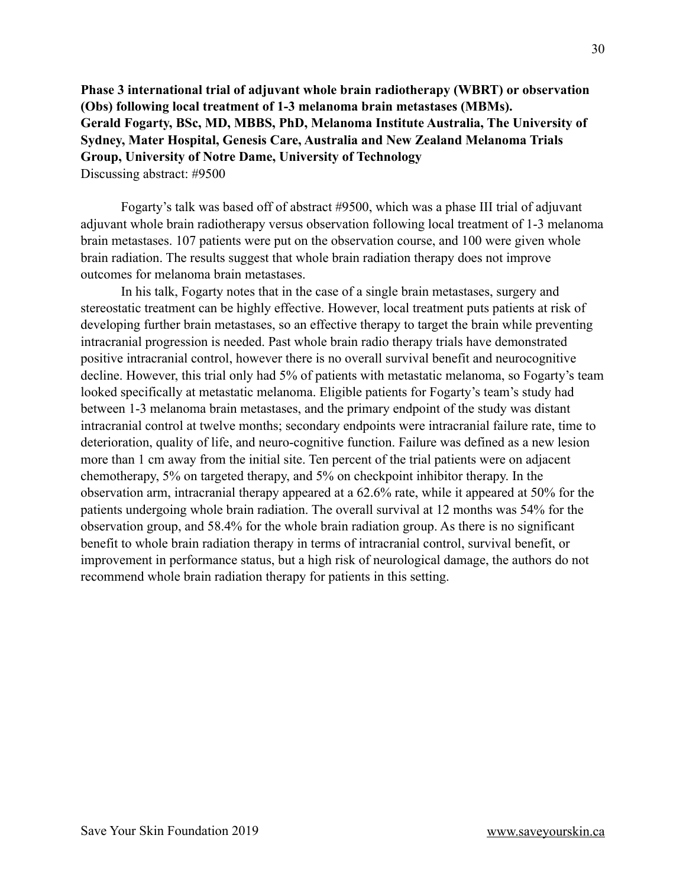**Phase 3 international trial of adjuvant whole brain radiotherapy (WBRT) or observation (Obs) following local treatment of 1-3 melanoma brain metastases (MBMs). Gerald Fogarty, BSc, MD, MBBS, PhD, Melanoma Institute Australia, The University of Sydney, Mater Hospital, Genesis Care, Australia and New Zealand Melanoma Trials Group, University of Notre Dame, University of Technology** Discussing abstract: #9500

 Fogarty's talk was based off of abstract #9500, which was a phase III trial of adjuvant adjuvant whole brain radiotherapy versus observation following local treatment of 1-3 melanoma brain metastases. 107 patients were put on the observation course, and 100 were given whole brain radiation. The results suggest that whole brain radiation therapy does not improve outcomes for melanoma brain metastases.

 In his talk, Fogarty notes that in the case of a single brain metastases, surgery and stereostatic treatment can be highly effective. However, local treatment puts patients at risk of developing further brain metastases, so an effective therapy to target the brain while preventing intracranial progression is needed. Past whole brain radio therapy trials have demonstrated positive intracranial control, however there is no overall survival benefit and neurocognitive decline. However, this trial only had 5% of patients with metastatic melanoma, so Fogarty's team looked specifically at metastatic melanoma. Eligible patients for Fogarty's team's study had between 1-3 melanoma brain metastases, and the primary endpoint of the study was distant intracranial control at twelve months; secondary endpoints were intracranial failure rate, time to deterioration, quality of life, and neuro-cognitive function. Failure was defined as a new lesion more than 1 cm away from the initial site. Ten percent of the trial patients were on adjacent chemotherapy, 5% on targeted therapy, and 5% on checkpoint inhibitor therapy. In the observation arm, intracranial therapy appeared at a 62.6% rate, while it appeared at 50% for the patients undergoing whole brain radiation. The overall survival at 12 months was 54% for the observation group, and 58.4% for the whole brain radiation group. As there is no significant benefit to whole brain radiation therapy in terms of intracranial control, survival benefit, or improvement in performance status, but a high risk of neurological damage, the authors do not recommend whole brain radiation therapy for patients in this setting.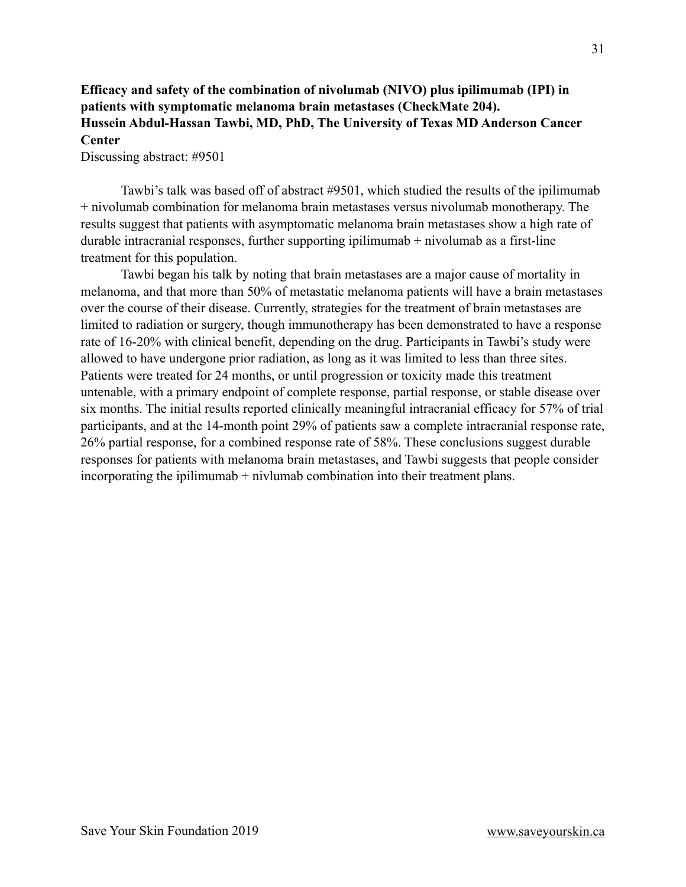# **Efficacy and safety of the combination of nivolumab (NIVO) plus ipilimumab (IPI) in patients with symptomatic melanoma brain metastases (CheckMate 204). Hussein Abdul-Hassan Tawbi, MD, PhD, The University of Texas MD Anderson Cancer Center**

Discussing abstract: #9501

 Tawbi's talk was based off of abstract #9501, which studied the results of the ipilimumab + nivolumab combination for melanoma brain metastases versus nivolumab monotherapy. The results suggest that patients with asymptomatic melanoma brain metastases show a high rate of durable intracranial responses, further supporting ipilimumab  $+$  nivolumab as a first-line treatment for this population.

 Tawbi began his talk by noting that brain metastases are a major cause of mortality in melanoma, and that more than 50% of metastatic melanoma patients will have a brain metastases over the course of their disease. Currently, strategies for the treatment of brain metastases are limited to radiation or surgery, though immunotherapy has been demonstrated to have a response rate of 16-20% with clinical benefit, depending on the drug. Participants in Tawbi's study were allowed to have undergone prior radiation, as long as it was limited to less than three sites. Patients were treated for 24 months, or until progression or toxicity made this treatment untenable, with a primary endpoint of complete response, partial response, or stable disease over six months. The initial results reported clinically meaningful intracranial efficacy for 57% of trial participants, and at the 14-month point 29% of patients saw a complete intracranial response rate, 26% partial response, for a combined response rate of 58%. These conclusions suggest durable responses for patients with melanoma brain metastases, and Tawbi suggests that people consider incorporating the ipilimumab + nivlumab combination into their treatment plans.